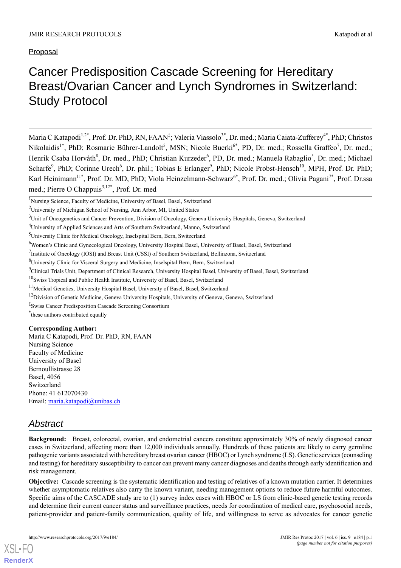# Cancer Predisposition Cascade Screening for Hereditary Breast/Ovarian Cancer and Lynch Syndromes in Switzerland: Study Protocol

Maria C Katapodi<sup>1,2\*</sup>, Prof. Dr. PhD, RN, FAAN<sup>‡</sup>; Valeria Viassolo<sup>3\*</sup>, Dr. med.; Maria Caiata-Zufferey<sup>4\*</sup>, PhD; Christos Nikolaidis<sup>1\*</sup>, PhD; Rosmarie Bührer-Landolt<sup>5</sup>, MSN; Nicole Buerki<sup>6\*</sup>, PD, Dr. med.; Rossella Graffeo<sup>7</sup>, Dr. med.; Henrik Csaba Horváth<sup>8</sup>, Dr. med., PhD; Christian Kurzeder<sup>6</sup>, PD, Dr. med.; Manuela Rabaglio<sup>5</sup>, Dr. med.; Michael Scharfe<sup>9</sup>, PhD; Corinne Urech<sup>6</sup>, Dr. phil.; Tobias E Erlanger<sup>9</sup>, PhD; Nicole Probst-Hensch<sup>10</sup>, MPH, Prof. Dr. PhD; Karl Heinimann<sup>11\*</sup>, Prof. Dr. MD, PhD; Viola Heinzelmann-Schwarz<sup>6\*</sup>, Prof. Dr. med.; Olivia Pagani<sup>7\*</sup>, Prof. Dr.ssa med.; Pierre O Chappuis<sup>3,12\*</sup>, Prof. Dr. med

<sup>4</sup>University of Applied Sciences and Arts of Southern Switzerland, Manno, Switzerland

\* these authors contributed equally

#### **Corresponding Author:**

Maria C Katapodi, Prof. Dr. PhD, RN, FAAN Nursing Science Faculty of Medicine University of Basel Bernoullistrasse 28 Basel, 4056 Switzerland Phone: 41 612070430 Email: [maria.katapodi@unibas.ch](mailto:maria.katapodi@unibas.ch)

## *Abstract*

[XSL](http://www.w3.org/Style/XSL)•FO **[RenderX](http://www.renderx.com/)**

**Background:** Breast, colorectal, ovarian, and endometrial cancers constitute approximately 30% of newly diagnosed cancer cases in Switzerland, affecting more than 12,000 individuals annually. Hundreds of these patients are likely to carry germline pathogenic variants associated with hereditary breast ovarian cancer (HBOC) or Lynch syndrome (LS). Genetic services (counseling and testing) for hereditary susceptibility to cancer can prevent many cancer diagnoses and deaths through early identification and risk management.

**Objective:** Cascade screening is the systematic identification and testing of relatives of a known mutation carrier. It determines whether asymptomatic relatives also carry the known variant, needing management options to reduce future harmful outcomes. Specific aims of the CASCADE study are to (1) survey index cases with HBOC or LS from clinic-based genetic testing records and determine their current cancer status and surveillance practices, needs for coordination of medical care, psychosocial needs, patient-provider and patient-family communication, quality of life, and willingness to serve as advocates for cancer genetic

<sup>&</sup>lt;sup>1</sup>Nursing Science, Faculty of Medicine, University of Basel, Basel, Switzerland

<sup>2</sup>University of Michigan School of Nursing, Ann Arbor, MI, United States

<sup>&</sup>lt;sup>3</sup>Unit of Oncogenetics and Cancer Prevention, Division of Oncology, Geneva University Hospitals, Geneva, Switzerland

<sup>5</sup>University Clinic for Medical Oncology, Inselspital Bern, Bern, Switzerland

<sup>6</sup>Women's Clinic and Gynecological Oncology, University Hospital Basel, University of Basel, Basel, Switzerland

<sup>&</sup>lt;sup>7</sup>Institute of Oncology (IOSI) and Breast Unit (CSSI) of Southern Switzerland, Bellinzona, Switzerland

<sup>8</sup>University Clinic for Visceral Surgery and Medicine, Inselspital Bern, Bern, Switzerland

<sup>9</sup>Clinical Trials Unit, Department of Clinical Research, University Hospital Basel, University of Basel, Basel, Switzerland

 $10$ Swiss Tropical and Public Health Institute, University of Basel, Basel, Switzerland

<sup>&</sup>lt;sup>11</sup>Medical Genetics, University Hospital Basel, University of Basel, Basel, Switzerland

<sup>&</sup>lt;sup>12</sup>Division of Genetic Medicine, Geneva University Hospitals, University of Geneva, Geneva, Switzerland

<sup>‡</sup> Swiss Cancer Predisposition Cascade Screening Consortium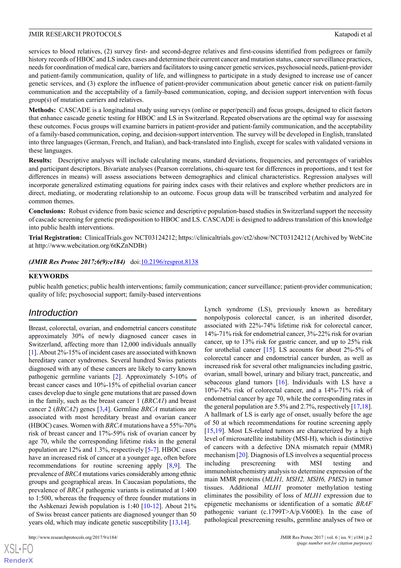services to blood relatives, (2) survey first- and second-degree relatives and first-cousins identified from pedigrees or family history records of HBOC and LS index cases and determine their current cancer and mutation status, cancer surveillance practices, needs for coordination of medical care, barriers and facilitators to using cancer genetic services, psychosocial needs, patient-provider and patient-family communication, quality of life, and willingness to participate in a study designed to increase use of cancer genetic services, and (3) explore the influence of patient-provider communication about genetic cancer risk on patient-family communication and the acceptability of a family-based communication, coping, and decision support intervention with focus group(s) of mutation carriers and relatives.

**Methods:** CASCADE is a longitudinal study using surveys (online or paper/pencil) and focus groups, designed to elicit factors that enhance cascade genetic testing for HBOC and LS in Switzerland. Repeated observations are the optimal way for assessing these outcomes. Focus groups will examine barriers in patient-provider and patient-family communication, and the acceptability of a family-based communication, coping, and decision-support intervention. The survey will be developed in English, translated into three languages (German, French, and Italian), and back-translated into English, except for scales with validated versions in these languages.

**Results:** Descriptive analyses will include calculating means, standard deviations, frequencies, and percentages of variables and participant descriptors. Bivariate analyses (Pearson correlations, chi-square test for differences in proportions, and t test for differences in means) will assess associations between demographics and clinical characteristics. Regression analyses will incorporate generalized estimating equations for pairing index cases with their relatives and explore whether predictors are in direct, mediating, or moderating relationship to an outcome. Focus group data will be transcribed verbatim and analyzed for common themes.

**Conclusions:** Robust evidence from basic science and descriptive population-based studies in Switzerland support the necessity of cascade screening for genetic predisposition to HBOC and LS. CASCADE is designed to address translation of this knowledge into public health interventions.

**Trial Registration:** ClinicalTrials.gov NCT03124212; https://clinicaltrials.gov/ct2/show/NCT03124212 (Archived by WebCite at http://www.webcitation.org/6tKZnNDBt)

#### *(JMIR Res Protoc 2017;6(9):e184)* doi[:10.2196/resprot.8138](http://dx.doi.org/10.2196/resprot.8138)

#### **KEYWORDS**

public health genetics; public health interventions; family communication; cancer surveillance; patient-provider communication; quality of life; psychosocial support; family-based interventions

#### *Introduction*

Breast, colorectal, ovarian, and endometrial cancers constitute approximately 30% of newly diagnosed cancer cases in Switzerland, affecting more than 12,000 individuals annually [[1\]](#page-11-0). About 2%-15% of incident cases are associated with known hereditary cancer syndromes. Several hundred Swiss patients diagnosed with any of these cancers are likely to carry known pathogenic germline variants [\[2](#page-11-1)]. Approximately 5-10% of breast cancer cases and 10%-15% of epithelial ovarian cancer cases develop due to single gene mutations that are passed down in the family, such as the breast cancer 1 (*BRCA1*) and breast cancer 2 (*BRCA2*) genes [[3,](#page-11-2)[4](#page-11-3)]. Germline *BRCA* mutations are associated with most hereditary breast and ovarian cancer (HBOC) cases. Women with *BRCA* mutations have a 55%-70% risk of breast cancer and 17%-59% risk of ovarian cancer by age 70, while the corresponding lifetime risks in the general population are 12% and 1.3%, respectively [\[5](#page-11-4)[-7](#page-11-5)]. HBOC cases have an increased risk of cancer at a younger age, often before recommendations for routine screening apply [\[8](#page-11-6)[,9\]](#page-11-7). The prevalence of *BRCA* mutations varies considerably among ethnic groups and geographical areas. In Caucasian populations, the prevalence of *BRCA* pathogenic variants is estimated at 1:400 to 1:500, whereas the frequency of three founder mutations in the Ashkenazi Jewish population is 1:40 [\[10](#page-12-0)[-12](#page-12-1)]. About 21% of Swiss breast cancer patients are diagnosed younger than 50 years old, which may indicate genetic susceptibility [\[13](#page-12-2),[14\]](#page-12-3).

http://www.researchprotocols.org/2017/9/e184/ JMIR Res Protoc 2017 | vol. 6 | iss. 9 | e184 | p.2

 $XS$ -FO **[RenderX](http://www.renderx.com/)** Lynch syndrome (LS), previously known as hereditary nonpolyposis colorectal cancer, is an inherited disorder, associated with 22%-74% lifetime risk for colorectal cancer, 14%-71% risk for endometrial cancer, 3%-22% risk for ovarian cancer, up to 13% risk for gastric cancer, and up to 25% risk for urothelial cancer [[15\]](#page-12-4). LS accounts for about 2%-5% of colorectal cancer and endometrial cancer burden, as well as increased risk for several other malignancies including gastric, ovarian, small bowel, urinary and biliary tract, pancreatic, and sebaceous gland tumors [\[16](#page-12-5)]. Individuals with LS have a 10%-74% risk of colorectal cancer, and a 14%-71% risk of endometrial cancer by age 70, while the corresponding rates in the general population are 5.5% and 2.7%, respectively [[17,](#page-12-6)[18\]](#page-12-7). A hallmark of LS is early age of onset, usually before the age of 50 at which recommendations for routine screening apply [[15,](#page-12-4)[19\]](#page-12-8). Most LS-related tumors are characterized by a high level of microsatellite instability (MSI-H), which is distinctive of cancers with a defective DNA mismatch repair (MMR) mechanism [\[20](#page-12-9)]. Diagnosis of LS involves a sequential process including prescreening with MSI testing and immunohistochemistry analysis to determine expression of the main MMR proteins (*MLH1, MSH2, MSH6, PMS2*) in tumor tissues. Additional *MLH1* promoter methylation testing eliminates the possibility of loss of *MLH1* expression due to epigenetic mechanisms or identification of a somatic *BRAF* pathogenic variant (c.1799T>A/p.V600E). In the case of pathological prescreening results, germline analyses of two or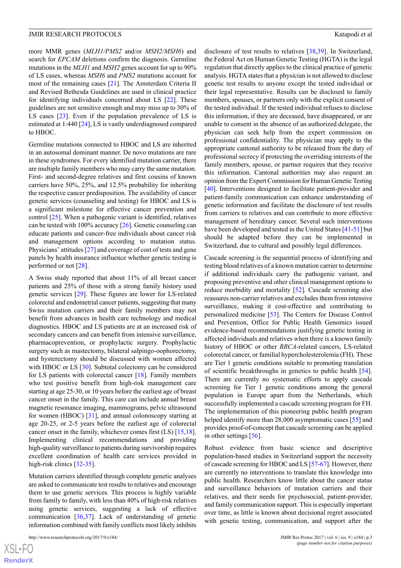more MMR genes (*MLH1/PMS2* and/or *MSH2/MSH6*) and search for *EPCAM* deletions confirm the diagnosis. Germline mutations in the *MLH1* and *MSH2* genes account for up to 90% of LS cases, whereas *MSH6* and *PMS2* mutations account for most of the remaining cases [[21\]](#page-12-10). The Amsterdam Criteria II and Revised Bethesda Guidelines are used in clinical practice for identifying individuals concerned about LS [[22\]](#page-12-11). These guidelines are not sensitive enough and may miss up to 30% of LS cases [[23\]](#page-12-12). Even if the population prevalence of LS is estimated at 1:440 [\[24](#page-12-13)], LS is vastly underdiagnosed compared to HBOC.

Germline mutations connected to HBOC and LS are inherited in an autosomal dominant manner. De novo mutations are rare in these syndromes. For every identified mutation carrier, there are multiple family members who may carry the same mutation. First- and second-degree relatives and first cousins of known carriers have 50%, 25%, and 12.5% probability for inheriting the respective cancer predisposition. The availability of cancer genetic services (counseling and testing) for HBOC and LS is a significant milestone for effective cancer prevention and control [[25\]](#page-12-14). When a pathogenic variant is identified, relatives can be tested with 100% accuracy [\[26](#page-12-15)]. Genetic counseling can educate patients and cancer-free individuals about cancer risk and management options according to mutation status. Physicians' attitudes [\[27](#page-12-16)] and coverage of cost of tests and gene panels by health insurance influence whether genetic testing is performed or not [\[28](#page-12-17)].

A Swiss study reported that about 11% of all breast cancer patients and 25% of those with a strong family history used genetic services [\[29](#page-12-18)]. These figures are lower for LS-related colorectal and endometrial cancer patients, suggesting that many Swiss mutation carriers and their family members may not benefit from advances in health care technology and medical diagnostics. HBOC and LS patients are at an increased risk of secondary cancers and can benefit from intensive surveillance, pharmacoprevention, or prophylactic surgery. Prophylactic surgery such as mastectomy, bilateral salpingo-oophorectomy, and hysterectomy should be discussed with women affected with HBOC or LS [[30\]](#page-12-19). Subtotal colectomy can be considered for LS patients with colorectal cancer [\[18](#page-12-7)]. Family members who test positive benefit from high-risk management care starting at age 25-30, or 10 years before the earliest age of breast cancer onset in the family. This care can include annual breast magnetic resonance imaging, mammograms, pelvic ultrasound for women (HBOC) [[31\]](#page-12-20), and annual colonoscopy starting at age 20-25, or 2-5 years before the earliest age of colorectal cancer onset in the family, whichever comes first (LS) [\[15](#page-12-4),[18\]](#page-12-7). Implementing clinical recommendations and providing high-quality surveillance to patients during survivorship requires excellent coordination of health care services provided in high-risk clinics [[32](#page-13-0)[-35](#page-13-1)].

Mutation carriers identified through complete genetic analyses are asked to communicate test results to relatives and encourage them to use genetic services. This process is highly variable from family to family, with less than 40% of high-risk relatives using genetic services, suggesting a lack of effective communication [[36,](#page-13-2)[37](#page-13-3)]. Lack of understanding of genetic information combined with family conflicts most likely inhibits

disclosure of test results to relatives [[38,](#page-13-4)[39](#page-13-5)]. In Switzerland, the Federal Act on Human Genetic Testing (HGTA) is the legal regulation that directly applies to the clinical practice of genetic analysis. HGTA states that a physician is not allowed to disclose genetic test results to anyone except the tested individual or their legal representative. Results can be disclosed to family members, spouses, or partners only with the explicit consent of the tested individual. If the tested individual refuses to disclose this information, if they are deceased, have disappeared, or are unable to consent in the absence of an authorized delegate, the physician can seek help from the expert commission on professional confidentiality. The physician may apply to the appropriate cantonal authority to be released from the duty of professional secrecy if protecting the overriding interests of the family members, spouse, or partner requires that they receive this information. Cantonal authorities may also request an opinion from the Expert Commission for Human Genetic Testing [[40\]](#page-13-6). Interventions designed to facilitate patient-provider and patient-family communication can enhance understanding of genetic information and facilitate the disclosure of test results from carriers to relatives and can contribute to more effective management of hereditary cancer. Several such interventions have been developed and tested in the United States [\[41](#page-13-7)-[51\]](#page-13-8) but should be adapted before they can be implemented in Switzerland, due to cultural and possibly legal differences.

Cascade screening is the sequential process of identifying and testing blood relatives of a known mutation carrier to determine if additional individuals carry the pathogenic variant, and proposing preventive and other clinical management options to reduce morbidity and mortality [\[52](#page-14-0)]. Cascade screening also reassures non-carrier relatives and excludes them from intensive surveillance, making it cost-effective and contributing to personalized medicine [[53\]](#page-14-1). The Centers for Disease Control and Prevention, Office for Public Health Genomics issued evidence-based recommendations justifying genetic testing in affected individuals and relatives when there is a known family history of HBOC or other *BRCA*-related cancers, LS-related colorectal cancer, or familial hypercholesterolemia (FH). These are Tier 1 genetic conditions suitable to promoting translation of scientific breakthroughs in genetics to public health [[54\]](#page-14-2). There are currently no systematic efforts to apply cascade screening for Tier 1 genetic conditions among the general population in Europe apart from the Netherlands, which successfully implemented a cascade screening program for FH. The implementation of this pioneering public health program helped identify more than 28,000 asymptomatic cases [[55\]](#page-14-3) and provides proof-of-concept that cascade screening can be applied in other settings [\[56](#page-14-4)].

Robust evidence from basic science and descriptive population-based studies in Switzerland support the necessity of cascade screening for HBOC and LS [\[57](#page-14-5)[-67](#page-14-6)]. However, there are currently no interventions to translate this knowledge into public health. Researchers know little about the cancer status and surveillance behaviors of mutation carriers and their relatives, and their needs for psychosocial, patient-provider, and family communication support. This is especially important over time, as little is known about decisional regret associated with genetic testing, communication, and support after the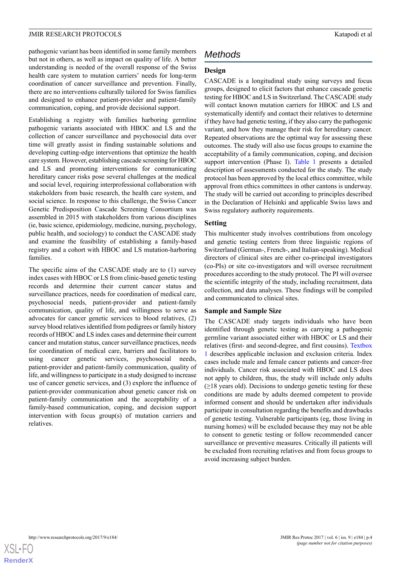pathogenic variant has been identified in some family members but not in others, as well as impact on quality of life. A better understanding is needed of the overall response of the Swiss health care system to mutation carriers' needs for long-term coordination of cancer surveillance and prevention. Finally, there are no interventions culturally tailored for Swiss families and designed to enhance patient-provider and patient-family communication, coping, and provide decisional support.

Establishing a registry with families harboring germline pathogenic variants associated with HBOC and LS and the collection of cancer surveillance and psychosocial data over time will greatly assist in finding sustainable solutions and developing cutting-edge interventions that optimize the health care system. However, establishing cascade screening for HBOC and LS and promoting interventions for communicating hereditary cancer risks pose several challenges at the medical and social level, requiring interprofessional collaboration with stakeholders from basic research, the health care system, and social science. In response to this challenge, the Swiss Cancer Genetic Predisposition Cascade Screening Consortium was assembled in 2015 with stakeholders from various disciplines (ie, basic science, epidemiology, medicine, nursing, psychology, public health, and sociology) to conduct the CASCADE study and examine the feasibility of establishing a family-based registry and a cohort with HBOC and LS mutation-harboring families.

The specific aims of the CASCADE study are to (1) survey index cases with HBOC or LS from clinic-based genetic testing records and determine their current cancer status and surveillance practices, needs for coordination of medical care, psychosocial needs, patient-provider and patient-family communication, quality of life, and willingness to serve as advocates for cancer genetic services to blood relatives, (2) survey blood relatives identified from pedigrees or family history records of HBOC and LS index cases and determine their current cancer and mutation status, cancer surveillance practices, needs for coordination of medical care, barriers and facilitators to using cancer genetic services, psychosocial needs, patient-provider and patient-family communication, quality of life, and willingness to participate in a study designed to increase use of cancer genetic services, and (3) explore the influence of patient-provider communication about genetic cancer risk on patient-family communication and the acceptability of a family-based communication, coping, and decision support intervention with focus group(s) of mutation carriers and relatives.

## *Methods*

#### **Design**

CASCADE is a longitudinal study using surveys and focus groups, designed to elicit factors that enhance cascade genetic testing for HBOC and LS in Switzerland. The CASCADE study will contact known mutation carriers for HBOC and LS and systematically identify and contact their relatives to determine if they have had genetic testing, if they also carry the pathogenic variant, and how they manage their risk for hereditary cancer. Repeated observations are the optimal way for assessing these outcomes. The study will also use focus groups to examine the acceptability of a family communication, coping, and decision support intervention (Phase I). [Table 1](#page-4-0) presents a detailed description of assessments conducted for the study. The study protocol has been approved by the local ethics committee, while approval from ethics committees in other cantons is underway. The study will be carried out according to principles described in the Declaration of Helsinki and applicable Swiss laws and Swiss regulatory authority requirements.

#### **Setting**

This multicenter study involves contributions from oncology and genetic testing centers from three linguistic regions of Switzerland (German-, French-, and Italian-speaking). Medical directors of clinical sites are either co-principal investigators (co-PIs) or site co-investigators and will oversee recruitment procedures according to the study protocol. The PI will oversee the scientific integrity of the study, including recruitment, data collection, and data analyses. These findings will be compiled and communicated to clinical sites.

#### **Sample and Sample Size**

The CASCADE study targets individuals who have been identified through genetic testing as carrying a pathogenic germline variant associated either with HBOC or LS and their relatives (first- and second-degree, and first cousins). [Textbox](#page-5-0) [1](#page-5-0) describes applicable inclusion and exclusion criteria. Index cases include male and female cancer patients and cancer-free individuals. Cancer risk associated with HBOC and LS does not apply to children, thus, the study will include only adults  $(\geq)18$  years old). Decisions to undergo genetic testing for these conditions are made by adults deemed competent to provide informed consent and should be undertaken after individuals participate in consultation regarding the benefits and drawbacks of genetic testing. Vulnerable participants (eg, those living in nursing homes) will be excluded because they may not be able to consent to genetic testing or follow recommended cancer surveillance or preventive measures. Critically ill patients will be excluded from recruiting relatives and from focus groups to avoid increasing subject burden.

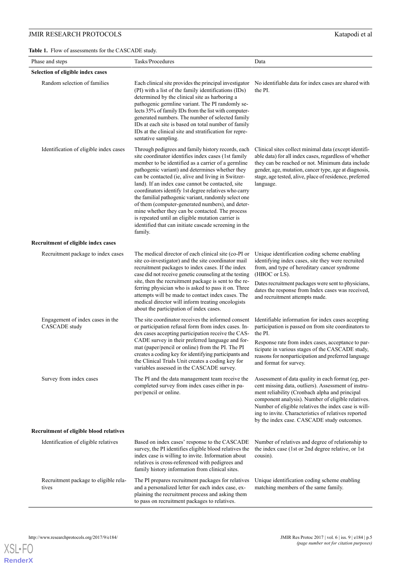<span id="page-4-0"></span>

| Phase and steps                                   | Tasks/Procedures                                                                                                                                                                                                                                                                                                                                                                                                                                                                                                                                                                                                                                                              | Data                                                                                                                                                                                                                                                                                                                                                                             |
|---------------------------------------------------|-------------------------------------------------------------------------------------------------------------------------------------------------------------------------------------------------------------------------------------------------------------------------------------------------------------------------------------------------------------------------------------------------------------------------------------------------------------------------------------------------------------------------------------------------------------------------------------------------------------------------------------------------------------------------------|----------------------------------------------------------------------------------------------------------------------------------------------------------------------------------------------------------------------------------------------------------------------------------------------------------------------------------------------------------------------------------|
| Selection of eligible index cases                 |                                                                                                                                                                                                                                                                                                                                                                                                                                                                                                                                                                                                                                                                               |                                                                                                                                                                                                                                                                                                                                                                                  |
| Random selection of families                      | Each clinical site provides the principal investigator<br>(PI) with a list of the family identifications (IDs)<br>determined by the clinical site as harboring a<br>pathogenic germline variant. The PI randomly se-<br>lects 35% of family IDs from the list with computer-<br>generated numbers. The number of selected family<br>IDs at each site is based on total number of family<br>IDs at the clinical site and stratification for repre-<br>sentative sampling.                                                                                                                                                                                                      | No identifiable data for index cases are shared with<br>the PI.                                                                                                                                                                                                                                                                                                                  |
| Identification of eligible index cases            | Through pedigrees and family history records, each<br>site coordinator identifies index cases (1st family<br>member to be identified as a carrier of a germline<br>pathogenic variant) and determines whether they<br>can be contacted (ie, alive and living in Switzer-<br>land). If an index case cannot be contacted, site<br>coordinators identify 1st degree relatives who carry<br>the familial pathogenic variant, randomly select one<br>of them (computer-generated numbers), and deter-<br>mine whether they can be contacted. The process<br>is repeated until an eligible mutation carrier is<br>identified that can initiate cascade screening in the<br>family. | Clinical sites collect minimal data (except identifi-<br>able data) for all index cases, regardless of whether<br>they can be reached or not. Minimum data include<br>gender, age, mutation, cancer type, age at diagnosis,<br>stage, age tested, alive, place of residence, preferred<br>language.                                                                              |
| Recruitment of eligible index cases               |                                                                                                                                                                                                                                                                                                                                                                                                                                                                                                                                                                                                                                                                               |                                                                                                                                                                                                                                                                                                                                                                                  |
| Recruitment package to index cases                | The medical director of each clinical site (co-PI or<br>site co-investigator) and the site coordinator mail<br>recruitment packages to index cases. If the index<br>case did not receive genetic counseling at the testing<br>site, then the recruitment package is sent to the re-<br>ferring physician who is asked to pass it on. Three<br>attempts will be made to contact index cases. The<br>medical director will inform treating oncologists<br>about the participation of index cases.                                                                                                                                                                               | Unique identification coding scheme enabling<br>identifying index cases, site they were recruited<br>from, and type of hereditary cancer syndrome<br>(HBOC or LS).<br>Dates recruitment packages were sent to physicians,<br>dates the response from Index cases was received,<br>and recruitment attempts made.                                                                 |
| Engagement of index cases in the<br>CASCADE study | The site coordinator receives the informed consent<br>or participation refusal form from index cases. In-<br>dex cases accepting participation receive the CAS-<br>CADE survey in their preferred language and for-<br>mat (paper/pencil or online) from the PI. The PI<br>creates a coding key for identifying participants and<br>the Clinical Trials Unit creates a coding key for<br>variables assessed in the CASCADE survey.                                                                                                                                                                                                                                            | Identifiable information for index cases accepting<br>participation is passed on from site coordinators to<br>the PI.<br>Response rate from index cases, acceptance to par-<br>ticipate in various stages of the CASCADE study,<br>reasons for nonparticipation and preferred language<br>and format for survey.                                                                 |
| Survey from index cases                           | The PI and the data management team receive the<br>completed survey from index cases either in pa-<br>per/pencil or online.                                                                                                                                                                                                                                                                                                                                                                                                                                                                                                                                                   | Assessment of data quality in each format (eg, per-<br>cent missing data, outliers). Assessment of instru-<br>ment reliability (Cronbach alpha and principal<br>component analysis). Number of eligible relatives.<br>Number of eligible relatives the index case is will-<br>ing to invite. Characteristics of relatives reported<br>by the index case. CASCADE study outcomes. |
| Recruitment of eligible blood relatives           |                                                                                                                                                                                                                                                                                                                                                                                                                                                                                                                                                                                                                                                                               |                                                                                                                                                                                                                                                                                                                                                                                  |
| Identification of eligible relatives              | Based on index cases' response to the CASCADE<br>survey, the PI identifies eligible blood relatives the<br>index case is willing to invite. Information about<br>relatives is cross-referenced with pedigrees and<br>family history information from clinical sites.                                                                                                                                                                                                                                                                                                                                                                                                          | Number of relatives and degree of relationship to<br>the index case (1st or 2nd degree relative, or 1st<br>cousin).                                                                                                                                                                                                                                                              |
| Recruitment package to eligible rela-<br>tives    | The PI prepares recruitment packages for relatives<br>and a personalized letter for each index case, ex-<br>plaining the recruitment process and asking them<br>to pass on recruitment packages to relatives.                                                                                                                                                                                                                                                                                                                                                                                                                                                                 | Unique identification coding scheme enabling<br>matching members of the same family.                                                                                                                                                                                                                                                                                             |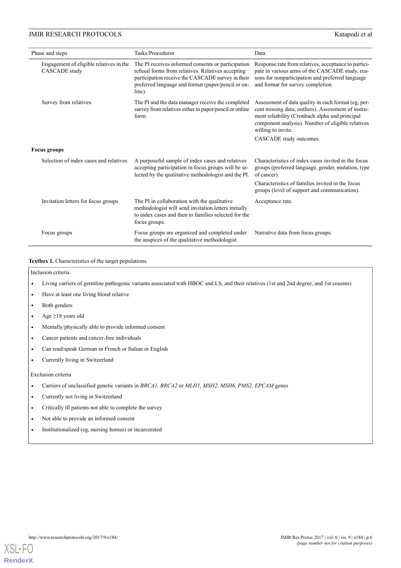| Phase and steps                                                 | Tasks/Procedures                                                                                                                                                                                                             | Data                                                                                                                                                                                                                                                               |  |
|-----------------------------------------------------------------|------------------------------------------------------------------------------------------------------------------------------------------------------------------------------------------------------------------------------|--------------------------------------------------------------------------------------------------------------------------------------------------------------------------------------------------------------------------------------------------------------------|--|
| Engagement of eligible relatives in the<br><b>CASCADE</b> study | The PI receives informed consents or participation<br>refusal forms from relatives. Relatives accepting<br>participation receive the CASCADE survey in their<br>preferred language and format (paper/pencil or on-<br>line). | Response rate from relatives, acceptance to partici-<br>pate in various arms of the CASCADE study, rea-<br>sons for nonparticipation and preferred language<br>and format for survey completion.                                                                   |  |
| Survey from relatives                                           | The PI and the data manager receive the completed<br>survey from relatives either in paper/pencil or online<br>form.                                                                                                         | Assessment of data quality in each format (eg, per-<br>cent missing data, outliers). Assessment of instru-<br>ment reliability (Cronbach alpha and principal<br>component analysis). Number of eligible relatives<br>willing to invite.<br>CASCADE study outcomes. |  |
| <b>Focus groups</b>                                             |                                                                                                                                                                                                                              |                                                                                                                                                                                                                                                                    |  |
| Selection of index cases and relatives                          | A purposeful sample of index cases and relatives<br>accepting participation in focus groups will be se-<br>lected by the qualitative methodologist and the PI.                                                               | Characteristics of index cases invited in the focus<br>groups (preferred language, gender, mutation, type<br>of cancer).                                                                                                                                           |  |
|                                                                 |                                                                                                                                                                                                                              | Characteristics of families invited in the focus<br>groups (level of support and communication).                                                                                                                                                                   |  |
| Invitation letters for focus groups                             | The PI in collaboration with the qualitative<br>methodologist will send invitation letters initially<br>to index cases and then to families selected for the<br>focus groups.                                                | Acceptance rate.                                                                                                                                                                                                                                                   |  |
| Focus groups                                                    | Focus groups are organized and completed under<br>the auspices of the qualitative methodologist.                                                                                                                             | Narrative data from focus groups.                                                                                                                                                                                                                                  |  |

#### <span id="page-5-0"></span>Textbox 1. Characteristics of the target populations.

Inclusion criteria

- Living carriers of germline pathogenic variants associated with HBOC and LS, and their relatives (1st and 2nd degree, and 1st cousins)
- Have at least one living blood relative
- Both genders
- Age  $\geq$ 18 years old
- Mentally/physically able to provide informed consent
- Cancer patients and cancer-free individuals
- Can read/speak German or French or Italian or English
- Currently living in Switzerland

Exclusion criteria

- Carriers of unclassified genetic variants in *BRCA1, BRCA2* or *MLH1, MSH2, MSH6, PMS2, EPCAM* genes
- Currently not living in Switzerland
- Critically ill patients not able to complete the survey
- Not able to provide an informed consent
- Institutionalized (eg, nursing homes) or incarcerated

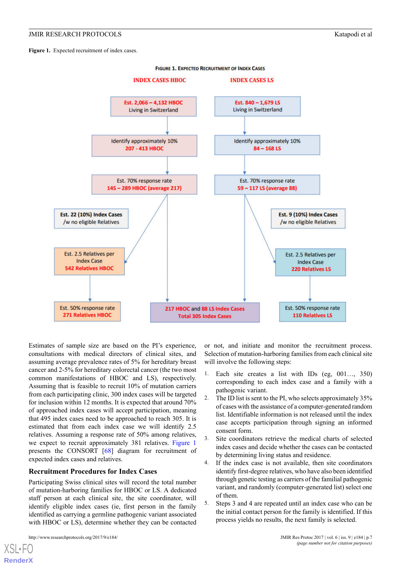<span id="page-6-0"></span>Figure 1. Expected recruitment of index cases.



Estimates of sample size are based on the PI's experience, consultations with medical directors of clinical sites, and assuming average prevalence rates of 5% for hereditary breast cancer and 2-5% for hereditary colorectal cancer (the two most common manifestations of HBOC and LS), respectively. Assuming that is feasible to recruit 10% of mutation carriers from each participating clinic, 300 index cases will be targeted for inclusion within 12 months. It is expected that around 70% of approached index cases will accept participation, meaning that 495 index cases need to be approached to reach 305. It is estimated that from each index case we will identify 2.5 relatives. Assuming a response rate of 50% among relatives, we expect to recruit approximately 381 relatives. [Figure 1](#page-6-0) presents the CONSORT [\[68](#page-14-7)] diagram for recruitment of expected index cases and relatives.

#### **Recruitment Procedures for Index Cases**

Participating Swiss clinical sites will record the total number of mutation-harboring families for HBOC or LS. A dedicated staff person at each clinical site, the site coordinator, will identify eligible index cases (ie, first person in the family identified as carrying a germline pathogenic variant associated with HBOC or LS), determine whether they can be contacted

[XSL](http://www.w3.org/Style/XSL)•FO **[RenderX](http://www.renderx.com/)**

or not, and initiate and monitor the recruitment process. Selection of mutation-harboring families from each clinical site will involve the following steps:

- 1. Each site creates a list with IDs (eg, 001…, 350) corresponding to each index case and a family with a pathogenic variant.
- 2. The ID list is sent to the PI, who selects approximately 35% of cases with the assistance of a computer-generated random list. Identifiable information is not released until the index case accepts participation through signing an informed consent form.
- 3. Site coordinators retrieve the medical charts of selected index cases and decide whether the cases can be contacted by determining living status and residence.
- 4. If the index case is not available, then site coordinators identify first-degree relatives, who have also been identified through genetic testing as carriers of the familial pathogenic variant, and randomly (computer-generated list) select one of them.
- 5. Steps 3 and 4 are repeated until an index case who can be the initial contact person for the family is identified. If this process yields no results, the next family is selected.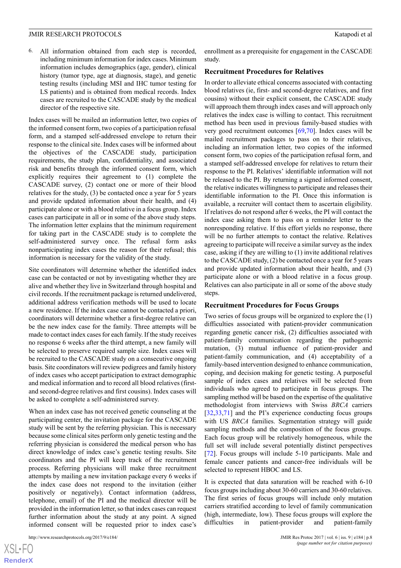6. All information obtained from each step is recorded, including minimum information for index cases. Minimum information includes demographics (age, gender), clinical history (tumor type, age at diagnosis, stage), and genetic testing results (including MSI and IHC tumor testing for LS patients) and is obtained from medical records. Index cases are recruited to the CASCADE study by the medical director of the respective site.

Index cases will be mailed an information letter, two copies of the informed consent form, two copies of a participation refusal form, and a stamped self-addressed envelope to return their response to the clinical site. Index cases will be informed about the objectives of the CASCADE study, participation requirements, the study plan, confidentiality, and associated risk and benefits through the informed consent form, which explicitly requires their agreement to (1) complete the CASCADE survey, (2) contact one or more of their blood relatives for the study, (3) be contacted once a year for 5 years and provide updated information about their health, and (4) participate alone or with a blood relative in a focus group. Index cases can participate in all or in some of the above study steps. The information letter explains that the minimum requirement for taking part in the CASCADE study is to complete the self-administered survey once. The refusal form asks nonparticipating index cases the reason for their refusal; this information is necessary for the validity of the study.

Site coordinators will determine whether the identified index case can be contacted or not by investigating whether they are alive and whether they live in Switzerland through hospital and civil records. If the recruitment package is returned undelivered, additional address verification methods will be used to locate a new residence. If the index case cannot be contacted a priori, coordinators will determine whether a first-degree relative can be the new index case for the family. Three attempts will be made to contact index cases for each family. If the study receives no response 6 weeks after the third attempt, a new family will be selected to preserve required sample size. Index cases will be recruited to the CASCADE study on a consecutive ongoing basis. Site coordinators will review pedigrees and family history of index cases who accept participation to extract demographic and medical information and to record all blood relatives (firstand second-degree relatives and first cousins). Index cases will be asked to complete a self-administered survey.

When an index case has not received genetic counseling at the participating center, the invitation package for the CASCADE study will be sent by the referring physician. This is necessary because some clinical sites perform only genetic testing and the referring physician is considered the medical person who has direct knowledge of index case's genetic testing results. Site coordinators and the PI will keep track of the recruitment process. Referring physicians will make three recruitment attempts by mailing a new invitation package every 6 weeks if the index case does not respond to the invitation (either positively or negatively). Contact information (address, telephone, email) of the PI and the medical director will be provided in the information letter, so that index cases can request further information about the study at any point. A signed informed consent will be requested prior to index case's

[XSL](http://www.w3.org/Style/XSL)•FO **[RenderX](http://www.renderx.com/)** enrollment as a prerequisite for engagement in the CASCADE study.

#### **Recruitment Procedures for Relatives**

In order to alleviate ethical concerns associated with contacting blood relatives (ie, first- and second-degree relatives, and first cousins) without their explicit consent, the CASCADE study will approach them through index cases and will approach only relatives the index case is willing to contact. This recruitment method has been used in previous family-based studies with very good recruitment outcomes [\[69](#page-14-8),[70\]](#page-14-9). Index cases will be mailed recruitment packages to pass on to their relatives, including an information letter, two copies of the informed consent form, two copies of the participation refusal form, and a stamped self-addressed envelope for relatives to return their response to the PI. Relatives' identifiable information will not be released to the PI. By returning a signed informed consent, the relative indicates willingness to participate and releases their identifiable information to the PI. Once this information is available, a recruiter will contact them to ascertain eligibility. If relatives do not respond after 6 weeks, the PI will contact the index case asking them to pass on a reminder letter to the nonresponding relative. If this effort yields no response, there will be no further attempts to contact the relative. Relatives agreeing to participate will receive a similar survey as the index case, asking if they are willing to (1) invite additional relatives to the CASCADE study, (2) be contacted once a year for 5 years and provide updated information about their health, and (3) participate alone or with a blood relative in a focus group. Relatives can also participate in all or some of the above study steps.

#### **Recruitment Procedures for Focus Groups**

Two series of focus groups will be organized to explore the (1) difficulties associated with patient-provider communication regarding genetic cancer risk, (2) difficulties associated with patient-family communication regarding the pathogenic mutation, (3) mutual influence of patient-provider and patient-family communication, and (4) acceptability of a family-based intervention designed to enhance communication, coping, and decision making for genetic testing. A purposeful sample of index cases and relatives will be selected from individuals who agreed to participate in focus groups. The sampling method will be based on the expertise of the qualitative methodologist from interviews with Swiss *BRCA* carriers [[32,](#page-13-0)[33,](#page-13-9)[71\]](#page-14-10) and the PI's experience conducting focus groups with US *BRCA* families. Segmentation strategy will guide sampling methods and the composition of the focus groups. Each focus group will be relatively homogeneous, while the full set will include several potentially distinct perspectives [[72\]](#page-14-11). Focus groups will include 5-10 participants. Male and female cancer patients and cancer-free individuals will be selected to represent HBOC and LS.

It is expected that data saturation will be reached with 6-10 focus groups including about 30-60 carriers and 30-60 relatives. The first series of focus groups will include only mutation carriers stratified according to level of family communication (high, intermediate, low). These focus groups will explore the difficulties in patient-provider and patient-family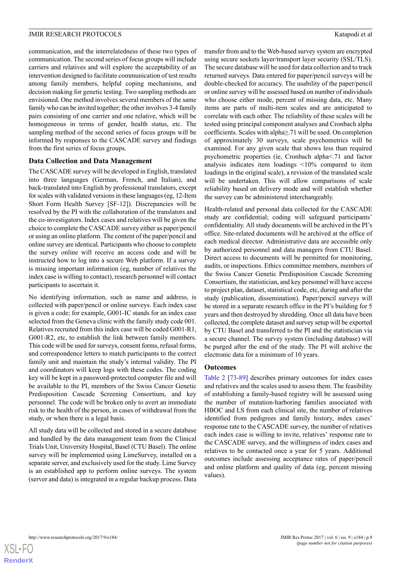communication, and the interrelatedness of these two types of communication. The second series of focus groups will include carriers and relatives and will explore the acceptability of an intervention designed to facilitate communication of test results among family members, helpful coping mechanisms, and decision making for genetic testing. Two sampling methods are envisioned. One method involves several members of the same family who can be invited together; the other involves 3-4 family pairs consisting of one carrier and one relative, which will be homogeneous in terms of gender, health status, etc. The sampling method of the second series of focus groups will be informed by responses to the CASCADE survey and findings from the first series of focus groups.

#### **Data Collection and Data Management**

The CASCADE survey will be developed in English, translated into three languages (German, French, and Italian), and back-translated into English by professional translators, except for scales with validated versions in these languages (eg, 12-Item Short Form Health Survey [SF-12]). Discrepancies will be resolved by the PI with the collaboration of the translators and the co-investigators. Index cases and relatives will be given the choice to complete the CASCADE survey either as paper/pencil or using an online platform. The content of the paper/pencil and online survey are identical. Participants who choose to complete the survey online will receive an access code and will be instructed how to log into a secure Web platform. If a survey is missing important information (eg, number of relatives the index case is willing to contact), research personnel will contact participants to ascertain it.

No identifying information, such as name and address, is collected with paper/pencil or online surveys. Each index case is given a code; for example, G001-IC stands for an index case selected from the Geneva clinic with the family study code 001. Relatives recruited from this index case will be coded G001-R1, G001-R2, etc, to establish the link between family members. This code will be used for surveys, consent forms, refusal forms, and correspondence letters to match participants to the correct family unit and maintain the study's internal validity. The PI and coordinators will keep logs with these codes. The coding key will be kept in a password-protected computer file and will be available to the PI, members of the Swiss Cancer Genetic Predisposition Cascade Screening Consortium, and key personnel. The code will be broken only to avert an immediate risk to the health of the person, in cases of withdrawal from the study, or when there is a legal basis.

All study data will be collected and stored in a secure database and handled by the data management team from the Clinical Trials Unit, University Hospital, Basel (CTU Basel). The online survey will be implemented using LimeSurvey, installed on a separate server, and exclusively used for the study. Lime Survey is an established app to perform online surveys. The system (server and data) is integrated in a regular backup process. Data

transfer from and to the Web-based survey system are encrypted using secure sockets layer/transport layer security (SSL/TLS). The secure database will be used for data collection and to track returned surveys. Data entered for paper/pencil surveys will be double-checked for accuracy. The usability of the paper/pencil or online survey will be assessed based on number of individuals who choose either mode, percent of missing data, etc. Many items are parts of multi-item scales and are anticipated to correlate with each other. The reliability of these scales will be tested using principal component analyses and Cronbach alpha coefficients. Scales with alpha≥.71 will be used. On completion of approximately 30 surveys, scale psychometrics will be examined. For any given scale that shows less than required psychometric properties (ie, Cronbach alpha<.71 and factor analysis indicates item loadings <10% compared to item loadings in the original scale), a revision of the translated scale will be undertaken. This will allow comparisons of scale reliability based on delivery mode and will establish whether the survey can be administered interchangeably.

Health-related and personal data collected for the CASCADE study are confidential; coding will safeguard participants' confidentiality. All study documents will be archived in the PI's office. Site-related documents will be archived at the office of each medical director. Administrative data are accessible only by authorized personnel and data managers from CTU Basel. Direct access to documents will be permitted for monitoring, audits, or inspections. Ethics committee members, members of the Swiss Cancer Genetic Predisposition Cascade Screening Consortium, the statistician, and key personnel will have access to project plan, dataset, statistical code, etc, during and after the study (publication, dissemination). Paper/pencil surveys will be stored in a separate research office in the PI's building for 5 years and then destroyed by shredding. Once all data have been collected, the complete dataset and survey setup will be exported by CTU Basel and transferred to the PI and the statistician via a secure channel. The survey system (including database) will be purged after the end of the study. The PI will archive the electronic data for a minimum of 10 years.

#### **Outcomes**

[Table 2](#page-9-0) [[73-](#page-14-12)[89\]](#page-15-0) describes primary outcomes for index cases and relatives and the scales used to assess them. The feasibility of establishing a family-based registry will be assessed using the number of mutation-harboring families associated with HBOC and LS from each clinical site, the number of relatives identified from pedigrees and family history, index cases' response rate to the CASCADE survey, the number of relatives each index case is willing to invite, relatives' response rate to the CASCADE survey, and the willingness of index cases and relatives to be contacted once a year for 5 years. Additional outcomes include assessing acceptance rates of paper/pencil and online platform and quality of data (eg, percent missing values).

 $XS$ -FO **[RenderX](http://www.renderx.com/)**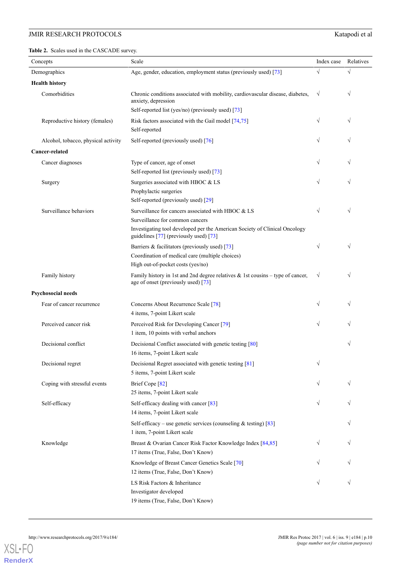<span id="page-9-0"></span>**Table 2.** Scales used in the CASCADE survey.

| Concepts                            | Scale                                                                                                                                                                                                         | Index case | Relatives  |
|-------------------------------------|---------------------------------------------------------------------------------------------------------------------------------------------------------------------------------------------------------------|------------|------------|
| Demographics                        | Age, gender, education, employment status (previously used) [73]                                                                                                                                              | $\sqrt{}$  | $\sqrt{ }$ |
| <b>Health history</b>               |                                                                                                                                                                                                               |            |            |
| Comorbidities                       | Chronic conditions associated with mobility, cardiovascular disease, diabetes,<br>anxiety, depression<br>Self-reported list (yes/no) (previously used) [73]                                                   | $\sqrt{}$  | $\sqrt{ }$ |
| Reproductive history (females)      | Risk factors associated with the Gail model [74,75]<br>Self-reported                                                                                                                                          | $\sqrt{}$  | $\sqrt{}$  |
| Alcohol, tobacco, physical activity | Self-reported (previously used) [76]                                                                                                                                                                          | $\sqrt{}$  |            |
| Cancer-related                      |                                                                                                                                                                                                               |            |            |
| Cancer diagnoses                    | Type of cancer, age of onset<br>Self-reported list (previously used) [73]                                                                                                                                     | $\sqrt{}$  | $\sqrt{}$  |
| Surgery                             | Surgeries associated with HBOC & LS<br>Prophylactic surgeries<br>Self-reported (previously used) [29]                                                                                                         | $\sqrt{}$  |            |
| Surveillance behaviors              | Surveillance for cancers associated with HBOC & LS<br>Surveillance for common cancers<br>Investigating tool developed per the American Society of Clinical Oncology<br>guidelines [77] (previously used) [73] | $\sqrt{}$  | $\sqrt{}$  |
|                                     | Barriers & facilitators (previously used) [73]<br>Coordination of medical care (multiple choices)<br>High out-of-pocket costs (yes/no)                                                                        | $\sqrt{}$  | $\sqrt{ }$ |
| Family history                      | Family history in 1st and 2nd degree relatives $\&$ 1st cousins – type of cancer,<br>age of onset (previously used) [73]                                                                                      | $\sqrt{}$  | $\sqrt{ }$ |
| Psychosocial needs                  |                                                                                                                                                                                                               |            |            |
| Fear of cancer recurrence           | Concerns About Recurrence Scale [78]<br>4 items, 7-point Likert scale                                                                                                                                         | $\sqrt{}$  | $\sqrt{}$  |
| Perceived cancer risk               | Perceived Risk for Developing Cancer [79]<br>1 item, 10 points with verbal anchors                                                                                                                            | $\sqrt{}$  | $\sqrt{}$  |
| Decisional conflict                 | Decisional Conflict associated with genetic testing [80]<br>16 items, 7-point Likert scale                                                                                                                    |            | $\sqrt{ }$ |
| Decisional regret                   | Decisional Regret associated with genetic testing [81]<br>5 items, 7-point Likert scale                                                                                                                       | $\sqrt{}$  |            |
| Coping with stressful events        | Brief Cope [82]<br>25 items, 7-point Likert scale                                                                                                                                                             | $\sqrt{}$  | $\sqrt{}$  |
| Self-efficacy                       | Self-efficacy dealing with cancer [83]<br>14 items, 7-point Likert scale                                                                                                                                      | $\sqrt{}$  | $\sqrt{}$  |
|                                     | Self-efficacy – use genetic services (counseling $&$ testing) [83]<br>1 item, 7-point Likert scale                                                                                                            |            |            |
| Knowledge                           | Breast & Ovarian Cancer Risk Factor Knowledge Index [84,85]<br>17 items (True, False, Don't Know)                                                                                                             | $\sqrt{}$  | $\sqrt{}$  |
|                                     | Knowledge of Breast Cancer Genetics Scale [70]<br>12 items (True, False, Don't Know)                                                                                                                          | $\sqrt{}$  |            |
|                                     | LS Risk Factors & Inheritance<br>Investigator developed<br>19 items (True, False, Don't Know)                                                                                                                 | $\sqrt{}$  | $\sqrt{ }$ |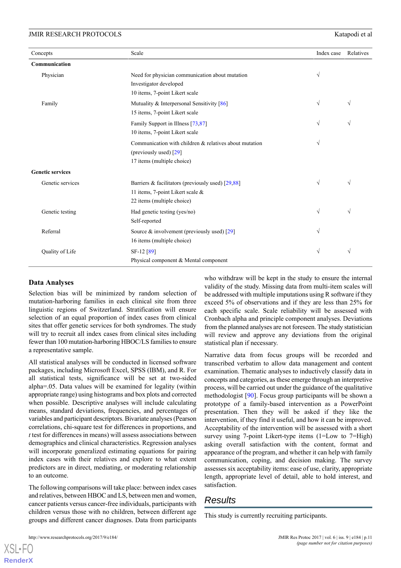| Concepts                | Scale                                                                                                                 | Index case | Relatives |
|-------------------------|-----------------------------------------------------------------------------------------------------------------------|------------|-----------|
| Communication           |                                                                                                                       |            |           |
| Physician               | Need for physician communication about mutation<br>Investigator developed<br>10 items, 7-point Likert scale           | $\sqrt{}$  |           |
| Family                  | Mutuality & Interpersonal Sensitivity [86]<br>15 items, 7-point Likert scale                                          | $\sqrt{}$  | $\sqrt{}$ |
|                         | Family Support in Illness [73,87]<br>10 items, 7-point Likert scale                                                   | $\sqrt{}$  | V         |
|                         | Communication with children & relatives about mutation<br>(previously used) [29]<br>17 items (multiple choice)        | V          |           |
| <b>Genetic services</b> |                                                                                                                       |            |           |
| Genetic services        | Barriers & facilitators (previously used) $[29,88]$<br>11 items, 7-point Likert scale &<br>22 items (multiple choice) | $\sqrt{}$  | V         |
| Genetic testing         | Had genetic testing (yes/no)<br>Self-reported                                                                         | $\sqrt{}$  | $\sqrt{}$ |
| Referral                | Source $\&$ involvement (previously used) [29]<br>16 items (multiple choice)                                          | V          |           |
| Quality of Life         | SF-12 <sup>[89]</sup><br>Physical component & Mental component                                                        | $\sqrt{}$  | V         |

#### **Data Analyses**

Selection bias will be minimized by random selection of mutation-harboring families in each clinical site from three linguistic regions of Switzerland. Stratification will ensure selection of an equal proportion of index cases from clinical sites that offer genetic services for both syndromes. The study will try to recruit all index cases from clinical sites including fewer than 100 mutation-harboring HBOC/LS families to ensure a representative sample.

All statistical analyses will be conducted in licensed software packages, including Microsoft Excel, SPSS (IBM), and R. For all statistical tests, significance will be set at two-sided alpha=.05. Data values will be examined for legality (within appropriate range) using histograms and box plots and corrected when possible. Descriptive analyses will include calculating means, standard deviations, frequencies, and percentages of variables and participant descriptors. Bivariate analyses (Pearson correlations, chi-square test for differences in proportions, and *t* test for differences in means) will assess associations between demographics and clinical characteristics. Regression analyses will incorporate generalized estimating equations for pairing index cases with their relatives and explore to what extent predictors are in direct, mediating, or moderating relationship to an outcome.

The following comparisons will take place: between index cases and relatives, between HBOC and LS, between men and women, cancer patients versus cancer-free individuals, participants with children versus those with no children, between different age groups and different cancer diagnoses. Data from participants

from the planned analyses are not foreseen. The study statistician will review and approve any deviations from the original statistical plan if necessary. Narrative data from focus groups will be recorded and transcribed verbatim to allow data management and content examination. Thematic analyses to inductively classify data in

concepts and categories, as these emerge through an interpretive process, will be carried out under the guidance of the qualitative methodologist [\[90](#page-15-16)]. Focus group participants will be shown a prototype of a family-based intervention as a PowerPoint presentation. Then they will be asked if they like the intervention, if they find it useful, and how it can be improved. Acceptability of the intervention will be assessed with a short survey using 7-point Likert-type items (1=Low to 7=High) asking overall satisfaction with the content, format and appearance of the program, and whether it can help with family communication, coping, and decision making. The survey assesses six acceptability items: ease of use, clarity, appropriate length, appropriate level of detail, able to hold interest, and satisfaction.

who withdraw will be kept in the study to ensure the internal validity of the study. Missing data from multi-item scales will be addressed with multiple imputations using R software if they exceed 5% of observations and if they are less than 25% for each specific scale. Scale reliability will be assessed with Cronbach alpha and principle component analyses. Deviations

#### *Results*

This study is currently recruiting participants.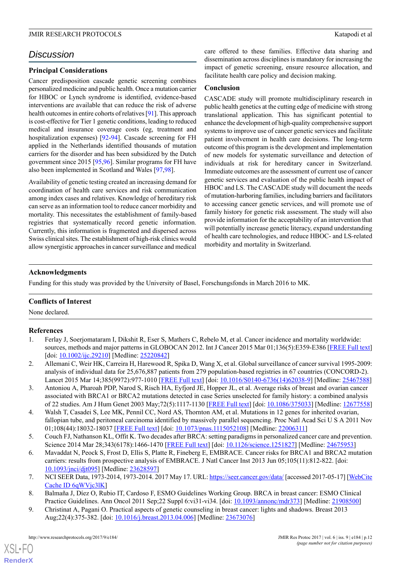## *Discussion*

#### **Principal Considerations**

Cancer predisposition cascade genetic screening combines personalized medicine and public health. Once a mutation carrier for HBOC or Lynch syndrome is identified, evidence-based interventions are available that can reduce the risk of adverse health outcomes in entire cohorts of relatives [\[91](#page-15-17)]. This approach is cost-effective for Tier 1 genetic conditions, leading to reduced medical and insurance coverage costs (eg, treatment and hospitalization expenses) [[92-](#page-15-18)[94\]](#page-15-19). Cascade screening for FH applied in the Netherlands identified thousands of mutation carriers for the disorder and has been subsidized by the Dutch government since 2015 [\[95](#page-15-20),[96\]](#page-15-21). Similar programs for FH have also been implemented in Scotland and Wales [[97,](#page-16-0)[98](#page-16-1)].

Availability of genetic testing created an increasing demand for coordination of health care services and risk communication among index cases and relatives. Knowledge of hereditary risk can serve as an information tool to reduce cancer morbidity and mortality. This necessitates the establishment of family-based registries that systematically record genetic information. Currently, this information is fragmented and dispersed across Swiss clinical sites. The establishment of high-risk clinics would allow synergistic approaches in cancer surveillance and medical care offered to these families. Effective data sharing and dissemination across disciplines is mandatory for increasing the impact of genetic screening, ensure resource allocation, and facilitate health care policy and decision making.

#### **Conclusion**

CASCADE study will promote multidisciplinary research in public health genetics at the cutting edge of medicine with strong translational application. This has significant potential to enhance the development of high-quality comprehensive support systems to improve use of cancer genetic services and facilitate patient involvement in health care decisions. The long-term outcome of this program is the development and implementation of new models for systematic surveillance and detection of individuals at risk for hereditary cancer in Switzerland. Immediate outcomes are the assessment of current use of cancer genetic services and evaluation of the public health impact of HBOC and LS. The CASCADE study will document the needs of mutation-harboring families, including barriers and facilitators to accessing cancer genetic services, and will promote use of family history for genetic risk assessment. The study will also provide information for the acceptability of an intervention that will potentially increase genetic literacy, expand understanding of health care technologies, and reduce HBOC- and LS-related morbidity and mortality in Switzerland.

#### **Acknowledgments**

Funding for this study was provided by the University of Basel, Forschungsfonds in March 2016 to MK.

#### <span id="page-11-0"></span>**Conflicts of Interest**

None declared.

#### <span id="page-11-1"></span>**References**

- <span id="page-11-2"></span>1. Ferlay J, Soerjomataram I, Dikshit R, Eser S, Mathers C, Rebelo M, et al. Cancer incidence and mortality worldwide: sources, methods and major patterns in GLOBOCAN 2012. Int J Cancer 2015 Mar 01;136(5):E359-E386 [[FREE Full text](http://dx.doi.org/10.1002/ijc.29210)] [doi: [10.1002/ijc.29210\]](http://dx.doi.org/10.1002/ijc.29210) [Medline: [25220842](http://www.ncbi.nlm.nih.gov/entrez/query.fcgi?cmd=Retrieve&db=PubMed&list_uids=25220842&dopt=Abstract)]
- <span id="page-11-3"></span>2. Allemani C, Weir HK, Carreira H, Harewood R, Spika D, Wang X, et al. Global surveillance of cancer survival 1995-2009: analysis of individual data for 25,676,887 patients from 279 population-based registries in 67 countries (CONCORD-2). Lancet 2015 Mar 14;385(9972):977-1010 [\[FREE Full text\]](http://linkinghub.elsevier.com/retrieve/pii/S0140-6736(14)62038-9) [doi: [10.1016/S0140-6736\(14\)62038-9](http://dx.doi.org/10.1016/S0140-6736(14)62038-9)] [Medline: [25467588\]](http://www.ncbi.nlm.nih.gov/entrez/query.fcgi?cmd=Retrieve&db=PubMed&list_uids=25467588&dopt=Abstract)
- <span id="page-11-4"></span>3. Antoniou A, Pharoah PDP, Narod S, Risch HA, Eyfjord JE, Hopper JL, et al. Average risks of breast and ovarian cancer associated with BRCA1 or BRCA2 mutations detected in case Series unselected for family history: a combined analysis of 22 studies. Am J Hum Genet 2003 May;72(5):1117-1130 [[FREE Full text\]](https://linkinghub.elsevier.com/retrieve/pii/S0002-9297(07)60640-5) [doi: [10.1086/375033](http://dx.doi.org/10.1086/375033)] [Medline: [12677558](http://www.ncbi.nlm.nih.gov/entrez/query.fcgi?cmd=Retrieve&db=PubMed&list_uids=12677558&dopt=Abstract)]
- 4. Walsh T, Casadei S, Lee MK, Pennil CC, Nord AS, Thornton AM, et al. Mutations in 12 genes for inherited ovarian, fallopian tube, and peritoneal carcinoma identified by massively parallel sequencing. Proc Natl Acad Sci U S A 2011 Nov 01;108(44):18032-18037 [[FREE Full text](http://www.pnas.org/cgi/pmidlookup?view=long&pmid=22006311)] [doi: [10.1073/pnas.1115052108\]](http://dx.doi.org/10.1073/pnas.1115052108) [Medline: [22006311](http://www.ncbi.nlm.nih.gov/entrez/query.fcgi?cmd=Retrieve&db=PubMed&list_uids=22006311&dopt=Abstract)]
- <span id="page-11-6"></span><span id="page-11-5"></span>5. Couch FJ, Nathanson KL, Offit K. Two decades after BRCA: setting paradigms in personalized cancer care and prevention. Science 2014 Mar 28;343(6178):1466-1470 [\[FREE Full text\]](http://europepmc.org/abstract/MED/24675953) [doi: [10.1126/science.1251827\]](http://dx.doi.org/10.1126/science.1251827) [Medline: [24675953](http://www.ncbi.nlm.nih.gov/entrez/query.fcgi?cmd=Retrieve&db=PubMed&list_uids=24675953&dopt=Abstract)]
- <span id="page-11-7"></span>6. Mavaddat N, Peock S, Frost D, Ellis S, Platte R, Fineberg E, EMBRACE. Cancer risks for BRCA1 and BRCA2 mutation carriers: results from prospective analysis of EMBRACE. J Natl Cancer Inst 2013 Jun 05;105(11):812-822. [doi: [10.1093/jnci/djt095](http://dx.doi.org/10.1093/jnci/djt095)] [Medline: [23628597\]](http://www.ncbi.nlm.nih.gov/entrez/query.fcgi?cmd=Retrieve&db=PubMed&list_uids=23628597&dopt=Abstract)
- 7. NCI SEER Data, 1973-2014, 1973-2014. 2017 May 17. URL:<https://seer.cancer.gov/data/> [accessed 2017-05-17] [\[WebCite](http://www.webcitation.org/6qWVjc3lK) [Cache ID 6qWVjc3lK\]](http://www.webcitation.org/6qWVjc3lK)
- 8. Balmaña J, Díez O, Rubio IT, Cardoso F, ESMO Guidelines Working Group. BRCA in breast cancer: ESMO Clinical Practice Guidelines. Ann Oncol 2011 Sep;22 Suppl 6:vi31-vi34. [doi: [10.1093/annonc/mdr373](http://dx.doi.org/10.1093/annonc/mdr373)] [Medline: [21908500](http://www.ncbi.nlm.nih.gov/entrez/query.fcgi?cmd=Retrieve&db=PubMed&list_uids=21908500&dopt=Abstract)]
- 9. Christinat A, Pagani O. Practical aspects of genetic counseling in breast cancer: lights and shadows. Breast 2013 Aug;22(4):375-382. [doi: [10.1016/j.breast.2013.04.006\]](http://dx.doi.org/10.1016/j.breast.2013.04.006) [Medline: [23673076](http://www.ncbi.nlm.nih.gov/entrez/query.fcgi?cmd=Retrieve&db=PubMed&list_uids=23673076&dopt=Abstract)]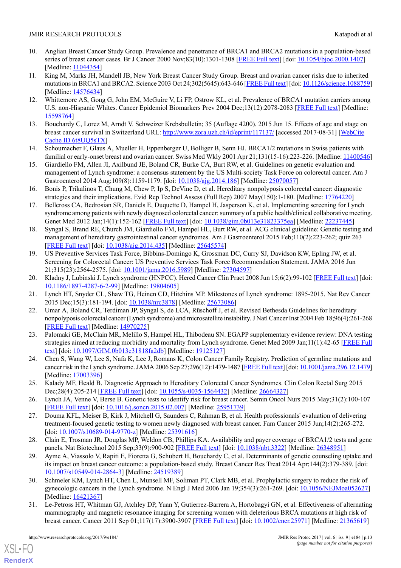- <span id="page-12-0"></span>10. Anglian Breast Cancer Study Group. Prevalence and penetrance of BRCA1 and BRCA2 mutations in a population-based series of breast cancer cases. Br J Cancer 2000 Nov;83(10):1301-1308 [\[FREE Full text\]](http://dx.doi.org/10.1054/bjoc.2000.1407) [doi: [10.1054/bjoc.2000.1407\]](http://dx.doi.org/10.1054/bjoc.2000.1407) [Medline: [11044354](http://www.ncbi.nlm.nih.gov/entrez/query.fcgi?cmd=Retrieve&db=PubMed&list_uids=11044354&dopt=Abstract)]
- 11. King M, Marks JH, Mandell JB, New York Breast Cancer Study Group. Breast and ovarian cancer risks due to inherited mutations in BRCA1 and BRCA2. Science 2003 Oct 24;302(5645):643-646 [\[FREE Full text](http://www.sciencemag.org/cgi/pmidlookup?view=long&pmid=14576434)] [doi: [10.1126/science.1088759\]](http://dx.doi.org/10.1126/science.1088759) [Medline: [14576434](http://www.ncbi.nlm.nih.gov/entrez/query.fcgi?cmd=Retrieve&db=PubMed&list_uids=14576434&dopt=Abstract)]
- <span id="page-12-1"></span>12. Whittemore AS, Gong G, John EM, McGuire V, Li FP, Ostrow KL, et al. Prevalence of BRCA1 mutation carriers among U.S. non-Hispanic Whites. Cancer Epidemiol Biomarkers Prev 2004 Dec;13(12):2078-2083 [\[FREE Full text\]](http://cebp.aacrjournals.org/cgi/pmidlookup?view=long&pmid=15598764) [Medline: [15598764](http://www.ncbi.nlm.nih.gov/entrez/query.fcgi?cmd=Retrieve&db=PubMed&list_uids=15598764&dopt=Abstract)]
- <span id="page-12-3"></span><span id="page-12-2"></span>13. Bouchardy C, Lorez M, Arndt V. Schweizer Krebsbulletin; 35 (Auflage 4200). 2015 Jun 15. Effects of age and stage on breast cancer survival in Switzerland URL: <http://www.zora.uzh.ch/id/eprint/117137/> [accessed 2017-08-31] [\[WebCite](http://www.webcitation.org/6t8UQ5sTX) [Cache ID 6t8UQ5sTX](http://www.webcitation.org/6t8UQ5sTX)]
- <span id="page-12-4"></span>14. Schoumacher F, Glaus A, Mueller H, Eppenberger U, Bolliger B, Senn HJ. BRCA1/2 mutations in Swiss patients with familial or early-onset breast and ovarian cancer. Swiss Med Wkly 2001 Apr 21;131(15-16):223-226. [Medline: [11400546](http://www.ncbi.nlm.nih.gov/entrez/query.fcgi?cmd=Retrieve&db=PubMed&list_uids=11400546&dopt=Abstract)]
- <span id="page-12-5"></span>15. Giardiello FM, Allen JI, Axilbund JE, Boland CR, Burke CA, Burt RW, et al. Guidelines on genetic evaluation and management of Lynch syndrome: a consensus statement by the US Multi-society Task Force on colorectal cancer. Am J Gastroenterol 2014 Aug;109(8):1159-1179. [doi: [10.1038/ajg.2014.186\]](http://dx.doi.org/10.1038/ajg.2014.186) [Medline: [25070057\]](http://www.ncbi.nlm.nih.gov/entrez/query.fcgi?cmd=Retrieve&db=PubMed&list_uids=25070057&dopt=Abstract)
- <span id="page-12-6"></span>16. Bonis P, Trikalinos T, Chung M, Chew P, Ip S, DeVine D, et al. Hereditary nonpolyposis colorectal cancer: diagnostic strategies and their implications. Evid Rep Technol Assess (Full Rep) 2007 May(150):1-180. [Medline: [17764220](http://www.ncbi.nlm.nih.gov/entrez/query.fcgi?cmd=Retrieve&db=PubMed&list_uids=17764220&dopt=Abstract)]
- <span id="page-12-7"></span>17. Bellcross CA, Bedrosian SR, Daniels E, Duquette D, Hampel H, Jasperson K, et al. Implementing screening for Lynch syndrome among patients with newly diagnosed colorectal cancer: summary of a public health/clinical collaborative meeting. Genet Med 2012 Jan;14(1):152-162 [[FREE Full text](http://europepmc.org/abstract/MED/22237445)] [doi: [10.1038/gim.0b013e31823375ea](http://dx.doi.org/10.1038/gim.0b013e31823375ea)] [Medline: [22237445\]](http://www.ncbi.nlm.nih.gov/entrez/query.fcgi?cmd=Retrieve&db=PubMed&list_uids=22237445&dopt=Abstract)
- <span id="page-12-8"></span>18. Syngal S, Brand RE, Church JM, Giardiello FM, Hampel HL, Burt RW, et al. ACG clinical guideline: Genetic testing and management of hereditary gastrointestinal cancer syndromes. Am J Gastroenterol 2015 Feb;110(2):223-262; quiz 263 [[FREE Full text](http://europepmc.org/abstract/MED/25645574)] [doi: [10.1038/ajg.2014.435](http://dx.doi.org/10.1038/ajg.2014.435)] [Medline: [25645574\]](http://www.ncbi.nlm.nih.gov/entrez/query.fcgi?cmd=Retrieve&db=PubMed&list_uids=25645574&dopt=Abstract)
- <span id="page-12-10"></span><span id="page-12-9"></span>19. US Preventive Services Task Force, Bibbins-Domingo K, Grossman DC, Curry SJ, Davidson KW, Epling JW, et al. Screening for Colorectal Cancer: US Preventive Services Task Force Recommendation Statement. JAMA 2016 Jun 21;315(23):2564-2575. [doi: [10.1001/jama.2016.5989](http://dx.doi.org/10.1001/jama.2016.5989)] [Medline: [27304597\]](http://www.ncbi.nlm.nih.gov/entrez/query.fcgi?cmd=Retrieve&db=PubMed&list_uids=27304597&dopt=Abstract)
- <span id="page-12-11"></span>20. Kladny J, Lubinski J. Lynch syndrome (HNPCC). Hered Cancer Clin Pract 2008 Jun 15;6(2):99-102 [[FREE Full text](http://europepmc.org/abstract/MED/19804605)] [doi: [10.1186/1897-4287-6-2-99\]](http://dx.doi.org/10.1186/1897-4287-6-2-99) [Medline: [19804605](http://www.ncbi.nlm.nih.gov/entrez/query.fcgi?cmd=Retrieve&db=PubMed&list_uids=19804605&dopt=Abstract)]
- <span id="page-12-12"></span>21. Lynch HT, Snyder CL, Shaw TG, Heinen CD, Hitchins MP. Milestones of Lynch syndrome: 1895-2015. Nat Rev Cancer 2015 Dec;15(3):181-194. [doi: [10.1038/nrc3878](http://dx.doi.org/10.1038/nrc3878)] [Medline: [25673086\]](http://www.ncbi.nlm.nih.gov/entrez/query.fcgi?cmd=Retrieve&db=PubMed&list_uids=25673086&dopt=Abstract)
- 22. Umar A, Boland CR, Terdiman JP, Syngal S, de LCA, Rüschoff J, et al. Revised Bethesda Guidelines for hereditary nonpolyposis colorectal cancer (Lynch syndrome) and microsatellite instability. J Natl Cancer Inst 2004 Feb 18;96(4):261-268 [[FREE Full text](http://europepmc.org/abstract/MED/14970275)] [Medline: [14970275](http://www.ncbi.nlm.nih.gov/entrez/query.fcgi?cmd=Retrieve&db=PubMed&list_uids=14970275&dopt=Abstract)]
- <span id="page-12-14"></span><span id="page-12-13"></span>23. Palomaki GE, McClain MR, Melillo S, Hampel HL, Thibodeau SN. EGAPP supplementary evidence review: DNA testing strategies aimed at reducing morbidity and mortality from Lynch syndrome. Genet Med 2009 Jan;11(1):42-65 [[FREE Full](http://europepmc.org/abstract/MED/19125127) [text\]](http://europepmc.org/abstract/MED/19125127) [doi: [10.1097/GIM.0b013e31818fa2db](http://dx.doi.org/10.1097/GIM.0b013e31818fa2db)] [Medline: [19125127\]](http://www.ncbi.nlm.nih.gov/entrez/query.fcgi?cmd=Retrieve&db=PubMed&list_uids=19125127&dopt=Abstract)
- <span id="page-12-15"></span>24. Chen S, Wang W, Lee S, Nafa K, Lee J, Romans K, Colon Cancer Family Registry. Prediction of germline mutations and cancer risk in the Lynch syndrome. JAMA 2006 Sep 27;296(12):1479-1487 [\[FREE Full text\]](http://europepmc.org/abstract/MED/17003396) [doi: [10.1001/jama.296.12.1479\]](http://dx.doi.org/10.1001/jama.296.12.1479) [Medline: [17003396](http://www.ncbi.nlm.nih.gov/entrez/query.fcgi?cmd=Retrieve&db=PubMed&list_uids=17003396&dopt=Abstract)]
- <span id="page-12-16"></span>25. Kalady MF, Heald B. Diagnostic Approach to Hereditary Colorectal Cancer Syndromes. Clin Colon Rectal Surg 2015 Dec;28(4):205-214 [[FREE Full text](http://europepmc.org/abstract/MED/26664327)] [doi: [10.1055/s-0035-1564432\]](http://dx.doi.org/10.1055/s-0035-1564432) [Medline: [26664327](http://www.ncbi.nlm.nih.gov/entrez/query.fcgi?cmd=Retrieve&db=PubMed&list_uids=26664327&dopt=Abstract)]
- <span id="page-12-17"></span>26. Lynch JA, Venne V, Berse B. Genetic tests to identify risk for breast cancer. Semin Oncol Nurs 2015 May;31(2):100-107 [[FREE Full text](http://europepmc.org/abstract/MED/25951739)] [doi: [10.1016/j.soncn.2015.02.007\]](http://dx.doi.org/10.1016/j.soncn.2015.02.007) [Medline: [25951739\]](http://www.ncbi.nlm.nih.gov/entrez/query.fcgi?cmd=Retrieve&db=PubMed&list_uids=25951739&dopt=Abstract)
- <span id="page-12-18"></span>27. Douma KFL, Meiser B, Kirk J, Mitchell G, Saunders C, Rahman B, et al. Health professionals' evaluation of delivering treatment-focused genetic testing to women newly diagnosed with breast cancer. Fam Cancer 2015 Jun;14(2):265-272. [doi: [10.1007/s10689-014-9770-z\]](http://dx.doi.org/10.1007/s10689-014-9770-z) [Medline: [25391616](http://www.ncbi.nlm.nih.gov/entrez/query.fcgi?cmd=Retrieve&db=PubMed&list_uids=25391616&dopt=Abstract)]
- <span id="page-12-19"></span>28. Clain E, Trosman JR, Douglas MP, Weldon CB, Phillips KA. Availability and payer coverage of BRCA1/2 tests and gene panels. Nat Biotechnol 2015 Sep;33(9):900-902 [\[FREE Full text\]](http://europepmc.org/abstract/MED/26348951) [doi: [10.1038/nbt.3322](http://dx.doi.org/10.1038/nbt.3322)] [Medline: [26348951](http://www.ncbi.nlm.nih.gov/entrez/query.fcgi?cmd=Retrieve&db=PubMed&list_uids=26348951&dopt=Abstract)]
- <span id="page-12-20"></span>29. Ayme A, Viassolo V, Rapiti E, Fioretta G, Schubert H, Bouchardy C, et al. Determinants of genetic counseling uptake and its impact on breast cancer outcome: a population-based study. Breast Cancer Res Treat 2014 Apr;144(2):379-389. [doi: [10.1007/s10549-014-2864-3\]](http://dx.doi.org/10.1007/s10549-014-2864-3) [Medline: [24519389](http://www.ncbi.nlm.nih.gov/entrez/query.fcgi?cmd=Retrieve&db=PubMed&list_uids=24519389&dopt=Abstract)]
- 30. Schmeler KM, Lynch HT, Chen L, Munsell MF, Soliman PT, Clark MB, et al. Prophylactic surgery to reduce the risk of gynecologic cancers in the Lynch syndrome. N Engl J Med 2006 Jan 19;354(3):261-269. [doi: [10.1056/NEJMoa052627](http://dx.doi.org/10.1056/NEJMoa052627)] [Medline: [16421367](http://www.ncbi.nlm.nih.gov/entrez/query.fcgi?cmd=Retrieve&db=PubMed&list_uids=16421367&dopt=Abstract)]
- 31. Le-Petross HT, Whitman GJ, Atchley DP, Yuan Y, Gutierrez-Barrera A, Hortobagyi GN, et al. Effectiveness of alternating mammography and magnetic resonance imaging for screening women with deleterious BRCA mutations at high risk of breast cancer. Cancer 2011 Sep 01;117(17):3900-3907 [[FREE Full text](http://dx.doi.org/10.1002/cncr.25971)] [doi: [10.1002/cncr.25971\]](http://dx.doi.org/10.1002/cncr.25971) [Medline: [21365619\]](http://www.ncbi.nlm.nih.gov/entrez/query.fcgi?cmd=Retrieve&db=PubMed&list_uids=21365619&dopt=Abstract)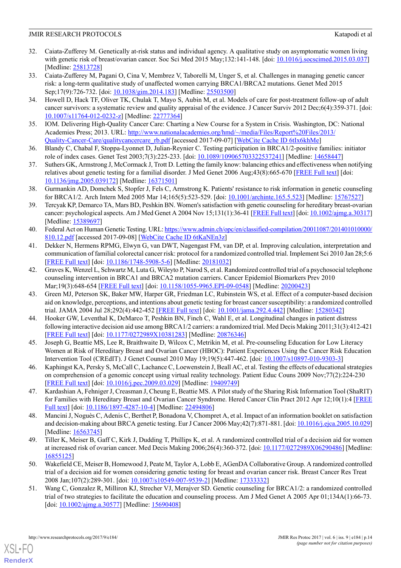- <span id="page-13-0"></span>32. Caiata-Zufferey M. Genetically at-risk status and individual agency. A qualitative study on asymptomatic women living with genetic risk of breast/ovarian cancer. Soc Sci Med 2015 May;132:141-148. [doi: [10.1016/j.socscimed.2015.03.037](http://dx.doi.org/10.1016/j.socscimed.2015.03.037)] [Medline: [25813728](http://www.ncbi.nlm.nih.gov/entrez/query.fcgi?cmd=Retrieve&db=PubMed&list_uids=25813728&dopt=Abstract)]
- <span id="page-13-9"></span>33. Caiata-Zufferey M, Pagani O, Cina V, Membrez V, Taborelli M, Unger S, et al. Challenges in managing genetic cancer risk: a long-term qualitative study of unaffected women carrying BRCA1/BRCA2 mutations. Genet Med 2015 Sep;17(9):726-732. [doi: [10.1038/gim.2014.183](http://dx.doi.org/10.1038/gim.2014.183)] [Medline: [25503500\]](http://www.ncbi.nlm.nih.gov/entrez/query.fcgi?cmd=Retrieve&db=PubMed&list_uids=25503500&dopt=Abstract)
- 34. Howell D, Hack TF, Oliver TK, Chulak T, Mayo S, Aubin M, et al. Models of care for post-treatment follow-up of adult cancer survivors: a systematic review and quality appraisal of the evidence. J Cancer Surviv 2012 Dec;6(4):359-371. [doi: [10.1007/s11764-012-0232-z\]](http://dx.doi.org/10.1007/s11764-012-0232-z) [Medline: [22777364](http://www.ncbi.nlm.nih.gov/entrez/query.fcgi?cmd=Retrieve&db=PubMed&list_uids=22777364&dopt=Abstract)]
- <span id="page-13-2"></span><span id="page-13-1"></span>35. IOM. Delivering High-Quality Cancer Care: Charting a New Course for a System in Crisis. Washington, DC: National Academies Press; 2013. URL: [http://www.nationalacademies.org/hmd/~/media/Files/Report%20Files/2013/](http://www.nationalacademies.org/hmd/~/media/Files/Report%20Files/2013/Quality-Cancer-Care/qualitycancercare_rb.pdf) [Quality-Cancer-Care/qualitycancercare\\_rb.pdf](http://www.nationalacademies.org/hmd/~/media/Files/Report%20Files/2013/Quality-Cancer-Care/qualitycancercare_rb.pdf) [accessed 2017-09-07] [[WebCite Cache ID 6tIx6khMe\]](http://www.webcitation.org/6tIx6khMe)
- <span id="page-13-3"></span>36. Blandy C, Chabal F, Stoppa-Lyonnet D, Julian-Reynier C. Testing participation in BRCA1/2-positive families: initiator role of index cases. Genet Test 2003;7(3):225-233. [doi: [10.1089/109065703322537241\]](http://dx.doi.org/10.1089/109065703322537241) [Medline: [14658447](http://www.ncbi.nlm.nih.gov/entrez/query.fcgi?cmd=Retrieve&db=PubMed&list_uids=14658447&dopt=Abstract)]
- <span id="page-13-4"></span>37. Suthers GK, Armstrong J, McCormack J, Trott D. Letting the family know: balancing ethics and effectiveness when notifying relatives about genetic testing for a familial disorder. J Med Genet 2006 Aug;43(8):665-670 [[FREE Full text\]](http://europepmc.org/abstract/MED/16371501) [doi: [10.1136/jmg.2005.039172\]](http://dx.doi.org/10.1136/jmg.2005.039172) [Medline: [16371501\]](http://www.ncbi.nlm.nih.gov/entrez/query.fcgi?cmd=Retrieve&db=PubMed&list_uids=16371501&dopt=Abstract)
- <span id="page-13-5"></span>38. Gurmankin AD, Domchek S, Stopfer J, Fels C, Armstrong K. Patients' resistance to risk information in genetic counseling for BRCA1/2. Arch Intern Med 2005 Mar 14;165(5):523-529. [doi: [10.1001/archinte.165.5.523\]](http://dx.doi.org/10.1001/archinte.165.5.523) [Medline: [15767527](http://www.ncbi.nlm.nih.gov/entrez/query.fcgi?cmd=Retrieve&db=PubMed&list_uids=15767527&dopt=Abstract)]
- <span id="page-13-6"></span>39. Tercyak KP, Demarco TA, Mars BD, Peshkin BN. Women's satisfaction with genetic counseling for hereditary breast-ovarian cancer: psychological aspects. Am J Med Genet A 2004 Nov 15;131(1):36-41 [[FREE Full text\]](http://europepmc.org/abstract/MED/15389697) [doi: [10.1002/ajmg.a.30317\]](http://dx.doi.org/10.1002/ajmg.a.30317) [Medline: [15389697](http://www.ncbi.nlm.nih.gov/entrez/query.fcgi?cmd=Retrieve&db=PubMed&list_uids=15389697&dopt=Abstract)]
- <span id="page-13-7"></span>40. Federal Act on Human Genetic Testing. URL: [https://www.admin.ch/opc/en/classified-compilation/20011087/201401010000/](https://www.admin.ch/opc/en/classified-compilation/20011087/201401010000/810.12.pdf) [810.12.pdf](https://www.admin.ch/opc/en/classified-compilation/20011087/201401010000/810.12.pdf) [accessed 2017-09-08] [[WebCite Cache ID 6tKaNEn3z\]](http://www.webcitation.org/6tKaNEn3z)
- 41. Dekker N, Hermens RPMG, Elwyn G, van DWT, Nagengast FM, van DP, et al. Improving calculation, interpretation and communication of familial colorectal cancer risk: protocol for a randomized controlled trial. Implement Sci 2010 Jan 28;5:6 [[FREE Full text](https://implementationscience.biomedcentral.com/articles/10.1186/1748-5908-5-6)] [doi: [10.1186/1748-5908-5-6](http://dx.doi.org/10.1186/1748-5908-5-6)] [Medline: [20181032](http://www.ncbi.nlm.nih.gov/entrez/query.fcgi?cmd=Retrieve&db=PubMed&list_uids=20181032&dopt=Abstract)]
- 42. Graves K, Wenzel L, Schwartz M, Luta G, Wileyto P, Narod S, et al. Randomized controlled trial of a psychosocial telephone counseling intervention in BRCA1 and BRCA2 mutation carriers. Cancer Epidemiol Biomarkers Prev 2010 Mar;19(3):648-654 [[FREE Full text](http://cebp.aacrjournals.org/cgi/pmidlookup?view=long&pmid=20200423)] [doi: [10.1158/1055-9965.EPI-09-0548\]](http://dx.doi.org/10.1158/1055-9965.EPI-09-0548) [Medline: [20200423](http://www.ncbi.nlm.nih.gov/entrez/query.fcgi?cmd=Retrieve&db=PubMed&list_uids=20200423&dopt=Abstract)]
- 43. Green MJ, Peterson SK, Baker MW, Harper GR, Friedman LC, Rubinstein WS, et al. Effect of a computer-based decision aid on knowledge, perceptions, and intentions about genetic testing for breast cancer susceptibility: a randomized controlled trial. JAMA 2004 Jul 28;292(4):442-452 [\[FREE Full text\]](http://europepmc.org/abstract/MED/15280342) [doi: [10.1001/jama.292.4.442](http://dx.doi.org/10.1001/jama.292.4.442)] [Medline: [15280342\]](http://www.ncbi.nlm.nih.gov/entrez/query.fcgi?cmd=Retrieve&db=PubMed&list_uids=15280342&dopt=Abstract)
- 44. Hooker GW, Leventhal K, DeMarco T, Peshkin BN, Finch C, Wahl E, et al. Longitudinal changes in patient distress following interactive decision aid use among BRCA1/2 carriers: a randomized trial. Med Decis Making 2011;31(3):412-421 [[FREE Full text](http://europepmc.org/abstract/MED/20876346)] [doi: [10.1177/0272989X10381283\]](http://dx.doi.org/10.1177/0272989X10381283) [Medline: [20876346](http://www.ncbi.nlm.nih.gov/entrez/query.fcgi?cmd=Retrieve&db=PubMed&list_uids=20876346&dopt=Abstract)]
- 45. Joseph G, Beattie MS, Lee R, Braithwaite D, Wilcox C, Metrikin M, et al. Pre-counseling Education for Low Literacy Women at Risk of Hereditary Breast and Ovarian Cancer (HBOC): Patient Experiences Using the Cancer Risk Education Intervention Tool (CREdIT). J Genet Counsel 2010 May 19;19(5):447-462. [doi: [10.1007/s10897-010-9303-3](http://dx.doi.org/10.1007/s10897-010-9303-3)]
- 46. Kaphingst KA, Persky S, McCall C, Lachance C, Loewenstein J, Beall AC, et al. Testing the effects of educational strategies on comprehension of a genomic concept using virtual reality technology. Patient Educ Couns 2009 Nov;77(2):224-230 [[FREE Full text](http://europepmc.org/abstract/MED/19409749)] [doi: [10.1016/j.pec.2009.03.029](http://dx.doi.org/10.1016/j.pec.2009.03.029)] [Medline: [19409749](http://www.ncbi.nlm.nih.gov/entrez/query.fcgi?cmd=Retrieve&db=PubMed&list_uids=19409749&dopt=Abstract)]
- 47. Kardashian A, Fehniger J, Creasman J, Cheung E, Beattie MS. A Pilot study of the Sharing Risk Information Tool (ShaRIT) for Families with Hereditary Breast and Ovarian Cancer Syndrome. Hered Cancer Clin Pract 2012 Apr 12;10(1):4 [\[FREE](https://hccpjournal.biomedcentral.com/articles/10.1186/1897-4287-10-4) [Full text](https://hccpjournal.biomedcentral.com/articles/10.1186/1897-4287-10-4)] [doi: [10.1186/1897-4287-10-4](http://dx.doi.org/10.1186/1897-4287-10-4)] [Medline: [22494806\]](http://www.ncbi.nlm.nih.gov/entrez/query.fcgi?cmd=Retrieve&db=PubMed&list_uids=22494806&dopt=Abstract)
- 48. Mancini J, Noguès C, Adenis C, Berthet P, Bonadona V, Chompret A, et al. Impact of an information booklet on satisfaction and decision-making about BRCA genetic testing. Eur J Cancer 2006 May;42(7):871-881. [doi: [10.1016/j.ejca.2005.10.029](http://dx.doi.org/10.1016/j.ejca.2005.10.029)] [Medline: [16563745](http://www.ncbi.nlm.nih.gov/entrez/query.fcgi?cmd=Retrieve&db=PubMed&list_uids=16563745&dopt=Abstract)]
- <span id="page-13-8"></span>49. Tiller K, Meiser B, Gaff C, Kirk J, Dudding T, Phillips K, et al. A randomized controlled trial of a decision aid for women at increased risk of ovarian cancer. Med Decis Making 2006;26(4):360-372. [doi: [10.1177/0272989X06290486\]](http://dx.doi.org/10.1177/0272989X06290486) [Medline: [16855125](http://www.ncbi.nlm.nih.gov/entrez/query.fcgi?cmd=Retrieve&db=PubMed&list_uids=16855125&dopt=Abstract)]
- 50. Wakefield CE, Meiser B, Homewood J, Peate M, Taylor A, Lobb E, AGenDA Collaborative Group. A randomized controlled trial of a decision aid for women considering genetic testing for breast and ovarian cancer risk. Breast Cancer Res Treat 2008 Jan;107(2):289-301. [doi: [10.1007/s10549-007-9539-2](http://dx.doi.org/10.1007/s10549-007-9539-2)] [Medline: [17333332](http://www.ncbi.nlm.nih.gov/entrez/query.fcgi?cmd=Retrieve&db=PubMed&list_uids=17333332&dopt=Abstract)]
- 51. Wang C, Gonzalez R, Milliron KJ, Strecher VJ, Merajver SD. Genetic counseling for BRCA1/2: a randomized controlled trial of two strategies to facilitate the education and counseling process. Am J Med Genet A 2005 Apr 01;134A(1):66-73. [doi: [10.1002/ajmg.a.30577\]](http://dx.doi.org/10.1002/ajmg.a.30577) [Medline: [15690408](http://www.ncbi.nlm.nih.gov/entrez/query.fcgi?cmd=Retrieve&db=PubMed&list_uids=15690408&dopt=Abstract)]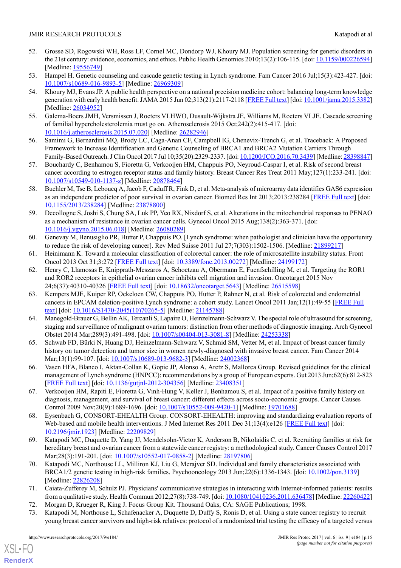- <span id="page-14-0"></span>52. Grosse SD, Rogowski WH, Ross LF, Cornel MC, Dondorp WJ, Khoury MJ. Population screening for genetic disorders in the 21st century: evidence, economics, and ethics. Public Health Genomics 2010;13(2):106-115. [doi: [10.1159/000226594](http://dx.doi.org/10.1159/000226594)] [Medline: [19556749](http://www.ncbi.nlm.nih.gov/entrez/query.fcgi?cmd=Retrieve&db=PubMed&list_uids=19556749&dopt=Abstract)]
- <span id="page-14-2"></span><span id="page-14-1"></span>53. Hampel H. Genetic counseling and cascade genetic testing in Lynch syndrome. Fam Cancer 2016 Jul;15(3):423-427. [doi: [10.1007/s10689-016-9893-5\]](http://dx.doi.org/10.1007/s10689-016-9893-5) [Medline: [26969309](http://www.ncbi.nlm.nih.gov/entrez/query.fcgi?cmd=Retrieve&db=PubMed&list_uids=26969309&dopt=Abstract)]
- 54. Khoury MJ, Evans JP. A public health perspective on a national precision medicine cohort: balancing long-term knowledge generation with early health benefit. JAMA 2015 Jun 02;313(21):2117-2118 [[FREE Full text\]](http://europepmc.org/abstract/MED/26034952) [doi: [10.1001/jama.2015.3382\]](http://dx.doi.org/10.1001/jama.2015.3382) [Medline: [26034952](http://www.ncbi.nlm.nih.gov/entrez/query.fcgi?cmd=Retrieve&db=PubMed&list_uids=26034952&dopt=Abstract)]
- <span id="page-14-4"></span><span id="page-14-3"></span>55. Galema-Boers JMH, Versmissen J, Roeters VLHWO, Dusault-Wijkstra JE, Williams M, Roeters VLJE. Cascade screening of familial hypercholesterolemia must go on. Atherosclerosis 2015 Oct;242(2):415-417. [doi: [10.1016/j.atherosclerosis.2015.07.020\]](http://dx.doi.org/10.1016/j.atherosclerosis.2015.07.020) [Medline: [26282946\]](http://www.ncbi.nlm.nih.gov/entrez/query.fcgi?cmd=Retrieve&db=PubMed&list_uids=26282946&dopt=Abstract)
- <span id="page-14-5"></span>56. Samimi G, Bernardini MQ, Brody LC, Caga-Anan CF, Campbell IG, Chenevix-Trench G, et al. Traceback: A Proposed Framework to Increase Identification and Genetic Counseling of BRCA1 and BRCA2 Mutation Carriers Through Family-Based Outreach. J Clin Oncol 2017 Jul 10;35(20):2329-2337. [doi: [10.1200/JCO.2016.70.3439\]](http://dx.doi.org/10.1200/JCO.2016.70.3439) [Medline: [28398847\]](http://www.ncbi.nlm.nih.gov/entrez/query.fcgi?cmd=Retrieve&db=PubMed&list_uids=28398847&dopt=Abstract)
- 57. Bouchardy C, Benhamou S, Fioretta G, Verkooijen HM, Chappuis PO, Neyroud-Caspar I, et al. Risk of second breast cancer according to estrogen receptor status and family history. Breast Cancer Res Treat 2011 May;127(1):233-241. [doi: [10.1007/s10549-010-1137-z\]](http://dx.doi.org/10.1007/s10549-010-1137-z) [Medline: [20878464](http://www.ncbi.nlm.nih.gov/entrez/query.fcgi?cmd=Retrieve&db=PubMed&list_uids=20878464&dopt=Abstract)]
- 58. Buehler M, Tse B, Leboucq A, Jacob F, Caduff R, Fink D, et al. Meta-analysis of microarray data identifies GAS6 expression as an independent predictor of poor survival in ovarian cancer. Biomed Res Int 2013;2013:238284 [\[FREE Full text\]](https://dx.doi.org/10.1155/2013/238284) [doi: [10.1155/2013/238284](http://dx.doi.org/10.1155/2013/238284)] [Medline: [23878800\]](http://www.ncbi.nlm.nih.gov/entrez/query.fcgi?cmd=Retrieve&db=PubMed&list_uids=23878800&dopt=Abstract)
- 59. Decollogne S, Joshi S, Chung SA, Luk PP, Yeo RX, Nixdorf S, et al. Alterations in the mitochondrial responses to PENAO as a mechanism of resistance in ovarian cancer cells. Gynecol Oncol 2015 Aug;138(2):363-371. [doi: [10.1016/j.ygyno.2015.06.018\]](http://dx.doi.org/10.1016/j.ygyno.2015.06.018) [Medline: [26080289](http://www.ncbi.nlm.nih.gov/entrez/query.fcgi?cmd=Retrieve&db=PubMed&list_uids=26080289&dopt=Abstract)]
- 60. Genevay M, Benusiglio PR, Hutter P, Chappuis PO. [Lynch syndrome: when pathologist and clinician have the opportunity to reduce the risk of developing cancer]. Rev Med Suisse 2011 Jul 27;7(303):1502-1506. [Medline: [21899217](http://www.ncbi.nlm.nih.gov/entrez/query.fcgi?cmd=Retrieve&db=PubMed&list_uids=21899217&dopt=Abstract)]
- 61. Heinimann K. Toward a molecular classification of colorectal cancer: the role of microsatellite instability status. Front Oncol 2013 Oct 31;3:272 [\[FREE Full text\]](https://dx.doi.org/10.3389/fonc.2013.00272) [doi: [10.3389/fonc.2013.00272\]](http://dx.doi.org/10.3389/fonc.2013.00272) [Medline: [24199172\]](http://www.ncbi.nlm.nih.gov/entrez/query.fcgi?cmd=Retrieve&db=PubMed&list_uids=24199172&dopt=Abstract)
- 62. Henry C, Llamosas E, Knipprath-Meszaros A, Schoetzau A, Obermann E, Fuenfschilling M, et al. Targeting the ROR1 and ROR2 receptors in epithelial ovarian cancer inhibits cell migration and invasion. Oncotarget 2015 Nov 24;6(37):40310-40326 [[FREE Full text](http://www.impactjournals.com/oncotarget/misc/linkedout.php?pii=5643)] [doi: [10.18632/oncotarget.5643](http://dx.doi.org/10.18632/oncotarget.5643)] [Medline: [26515598](http://www.ncbi.nlm.nih.gov/entrez/query.fcgi?cmd=Retrieve&db=PubMed&list_uids=26515598&dopt=Abstract)]
- 63. Kempers MJE, Kuiper RP, Ockeloen CW, Chappuis PO, Hutter P, Rahner N, et al. Risk of colorectal and endometrial cancers in EPCAM deletion-positive Lynch syndrome: a cohort study. Lancet Oncol 2011 Jan;12(1):49-55 [\[FREE Full](http://europepmc.org/abstract/MED/21145788) [text\]](http://europepmc.org/abstract/MED/21145788) [doi: [10.1016/S1470-2045\(10\)70265-5\]](http://dx.doi.org/10.1016/S1470-2045(10)70265-5) [Medline: [21145788](http://www.ncbi.nlm.nih.gov/entrez/query.fcgi?cmd=Retrieve&db=PubMed&list_uids=21145788&dopt=Abstract)]
- 64. Manegold-Brauer G, Bellin AK, Tercanli S, Lapaire O, Heinzelmann-Schwarz V. The special role of ultrasound for screening, staging and surveillance of malignant ovarian tumors: distinction from other methods of diagnostic imaging. Arch Gynecol Obstet 2014 Mar;289(3):491-498. [doi: [10.1007/s00404-013-3081-8](http://dx.doi.org/10.1007/s00404-013-3081-8)] [Medline: [24253338](http://www.ncbi.nlm.nih.gov/entrez/query.fcgi?cmd=Retrieve&db=PubMed&list_uids=24253338&dopt=Abstract)]
- <span id="page-14-6"></span>65. Schwab FD, Bürki N, Huang DJ, Heinzelmann-Schwarz V, Schmid SM, Vetter M, et al. Impact of breast cancer family history on tumor detection and tumor size in women newly-diagnosed with invasive breast cancer. Fam Cancer 2014 Mar;13(1):99-107. [doi: [10.1007/s10689-013-9682-3](http://dx.doi.org/10.1007/s10689-013-9682-3)] [Medline: [24002368\]](http://www.ncbi.nlm.nih.gov/entrez/query.fcgi?cmd=Retrieve&db=PubMed&list_uids=24002368&dopt=Abstract)
- <span id="page-14-7"></span>66. Vasen HFA, Blanco I, Aktan-Collan K, Gopie JP, Alonso A, Aretz S, Mallorca Group. Revised guidelines for the clinical management of Lynch syndrome (HNPCC): recommendations by a group of European experts. Gut 2013 Jun;62(6):812-823 [[FREE Full text](http://gut.bmj.com/cgi/pmidlookup?view=long&pmid=23408351)] [doi: [10.1136/gutjnl-2012-304356](http://dx.doi.org/10.1136/gutjnl-2012-304356)] [Medline: [23408351](http://www.ncbi.nlm.nih.gov/entrez/query.fcgi?cmd=Retrieve&db=PubMed&list_uids=23408351&dopt=Abstract)]
- <span id="page-14-8"></span>67. Verkooijen HM, Rapiti E, Fioretta G, Vinh-Hung V, Keller J, Benhamou S, et al. Impact of a positive family history on diagnosis, management, and survival of breast cancer: different effects across socio-economic groups. Cancer Causes Control 2009 Nov;20(9):1689-1696. [doi: [10.1007/s10552-009-9420-1](http://dx.doi.org/10.1007/s10552-009-9420-1)] [Medline: [19701688](http://www.ncbi.nlm.nih.gov/entrez/query.fcgi?cmd=Retrieve&db=PubMed&list_uids=19701688&dopt=Abstract)]
- <span id="page-14-9"></span>68. Eysenbach G, CONSORT-EHEALTH Group. CONSORT-EHEALTH: improving and standardizing evaluation reports of Web-based and mobile health interventions. J Med Internet Res 2011 Dec 31;13(4):e126 [[FREE Full text](http://www.jmir.org/2011/4/e126/)] [doi: [10.2196/jmir.1923](http://dx.doi.org/10.2196/jmir.1923)] [Medline: [22209829](http://www.ncbi.nlm.nih.gov/entrez/query.fcgi?cmd=Retrieve&db=PubMed&list_uids=22209829&dopt=Abstract)]
- <span id="page-14-10"></span>69. Katapodi MC, Duquette D, Yang JJ, Mendelsohn-Victor K, Anderson B, Nikolaidis C, et al. Recruiting families at risk for hereditary breast and ovarian cancer from a statewide cancer registry: a methodological study. Cancer Causes Control 2017 Mar;28(3):191-201. [doi: [10.1007/s10552-017-0858-2](http://dx.doi.org/10.1007/s10552-017-0858-2)] [Medline: [28197806\]](http://www.ncbi.nlm.nih.gov/entrez/query.fcgi?cmd=Retrieve&db=PubMed&list_uids=28197806&dopt=Abstract)
- <span id="page-14-12"></span><span id="page-14-11"></span>70. Katapodi MC, Northouse LL, Milliron KJ, Liu G, Merajver SD. Individual and family characteristics associated with BRCA1/2 genetic testing in high-risk families. Psychooncology 2013 Jun;22(6):1336-1343. [doi: [10.1002/pon.3139](http://dx.doi.org/10.1002/pon.3139)] [Medline: [22826208](http://www.ncbi.nlm.nih.gov/entrez/query.fcgi?cmd=Retrieve&db=PubMed&list_uids=22826208&dopt=Abstract)]
- 71. Caiata-Zufferey M, Schulz PJ. Physicians' communicative strategies in interacting with Internet-informed patients: results from a qualitative study. Health Commun 2012;27(8):738-749. [doi: [10.1080/10410236.2011.636478\]](http://dx.doi.org/10.1080/10410236.2011.636478) [Medline: [22260422\]](http://www.ncbi.nlm.nih.gov/entrez/query.fcgi?cmd=Retrieve&db=PubMed&list_uids=22260422&dopt=Abstract)
- 72. Morgan D, Krueger R, King J. Focus Group Kit. Thousand Oaks, CA: SAGE Publications; 1998.
- 73. Katapodi M, Northouse L, Schafenacker A, Duquette D, Duffy S, Ronis D, et al. Using a state cancer registry to recruit young breast cancer survivors and high-risk relatives: protocol of a randomized trial testing the efficacy of a targeted versus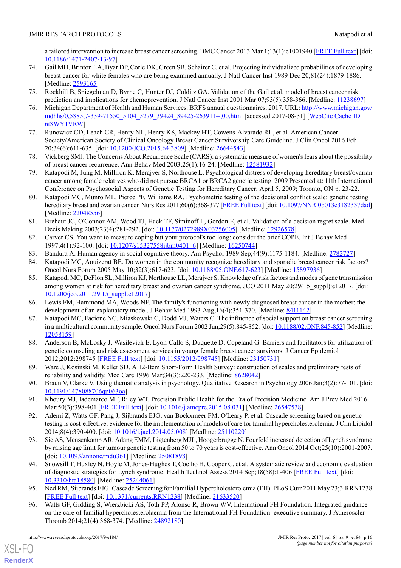a tailored intervention to increase breast cancer screening. BMC Cancer 2013 Mar 1;13(1):e1001940 [\[FREE Full text\]](http://dx.plos.org/10.1371/journal.pmed.1001940) [doi: [10.1186/1471-2407-13-97](http://dx.doi.org/10.1186/1471-2407-13-97)]

- <span id="page-15-1"></span>74. Gail MH, Brinton LA, Byar DP, Corle DK, Green SB, Schairer C, et al. Projecting individualized probabilities of developing breast cancer for white females who are being examined annually. J Natl Cancer Inst 1989 Dec 20;81(24):1879-1886. [Medline: [2593165](http://www.ncbi.nlm.nih.gov/entrez/query.fcgi?cmd=Retrieve&db=PubMed&list_uids=2593165&dopt=Abstract)]
- <span id="page-15-3"></span><span id="page-15-2"></span>75. Rockhill B, Spiegelman D, Byrne C, Hunter DJ, Colditz GA. Validation of the Gail et al. model of breast cancer risk prediction and implications for chemoprevention. J Natl Cancer Inst 2001 Mar 07;93(5):358-366. [Medline: [11238697\]](http://www.ncbi.nlm.nih.gov/entrez/query.fcgi?cmd=Retrieve&db=PubMed&list_uids=11238697&dopt=Abstract)
- <span id="page-15-4"></span>76. Michigan Department of Health and Human Services. BRFS annual questionnaires. 2017. URL: [http://www.michigan.gov/](http://www.michigan.gov/mdhhs/0,5885,7-339-71550_5104_5279_39424_39425-263911--,00.html) [mdhhs/0,5885,7-339-71550\\_5104\\_5279\\_39424\\_39425-263911--,00.html](http://www.michigan.gov/mdhhs/0,5885,7-339-71550_5104_5279_39424_39425-263911--,00.html) [accessed 2017-08-31] [[WebCite Cache ID](http://www.webcitation.org/6t8WY1VRW) [6t8WY1VRW\]](http://www.webcitation.org/6t8WY1VRW)
- <span id="page-15-5"></span>77. Runowicz CD, Leach CR, Henry NL, Henry KS, Mackey HT, Cowens-Alvarado RL, et al. American Cancer Society/American Society of Clinical Oncology Breast Cancer Survivorship Care Guideline. J Clin Oncol 2016 Feb 20;34(6):611-635. [doi: [10.1200/JCO.2015.64.3809\]](http://dx.doi.org/10.1200/JCO.2015.64.3809) [Medline: [26644543](http://www.ncbi.nlm.nih.gov/entrez/query.fcgi?cmd=Retrieve&db=PubMed&list_uids=26644543&dopt=Abstract)]
- <span id="page-15-6"></span>78. Vickberg SMJ. The Concerns About Recurrence Scale (CARS): a systematic measure of women's fears about the possibility of breast cancer recurrence. Ann Behav Med 2003;25(1):16-24. [Medline: [12581932](http://www.ncbi.nlm.nih.gov/entrez/query.fcgi?cmd=Retrieve&db=PubMed&list_uids=12581932&dopt=Abstract)]
- <span id="page-15-7"></span>79. Katapodi M, Jung M, Milliron K, Merajver S, Northouse L. Psychological distress of developing hereditary breast/ovarian cancer among female relatives who did not pursue BRCA1 or BRCA2 genetic testing. 2009 Presented at: 11th International Conference on Psychosocial Aspects of Genetic Testing for Hereditary Cancer; April 5, 2009; Toronto, ON p. 23-22.
- <span id="page-15-8"></span>80. Katapodi MC, Munro ML, Pierce PF, Williams RA. Psychometric testing of the decisional conflict scale: genetic testing hereditary breast and ovarian cancer. Nurs Res 2011;60(6):368-377 [[FREE Full text\]](http://europepmc.org/abstract/MED/22048556) [doi: [10.1097/NNR.0b013e3182337dad\]](http://dx.doi.org/10.1097/NNR.0b013e3182337dad) [Medline: [22048556](http://www.ncbi.nlm.nih.gov/entrez/query.fcgi?cmd=Retrieve&db=PubMed&list_uids=22048556&dopt=Abstract)]
- <span id="page-15-10"></span><span id="page-15-9"></span>81. Brehaut JC, O'Connor AM, Wood TJ, Hack TF, Siminoff L, Gordon E, et al. Validation of a decision regret scale. Med Decis Making 2003;23(4):281-292. [doi: [10.1177/0272989X03256005](http://dx.doi.org/10.1177/0272989X03256005)] [Medline: [12926578](http://www.ncbi.nlm.nih.gov/entrez/query.fcgi?cmd=Retrieve&db=PubMed&list_uids=12926578&dopt=Abstract)]
- <span id="page-15-11"></span>82. Carver CS. You want to measure coping but your protocol's too long: consider the brief COPE. Int J Behav Med 1997;4(1):92-100. [doi: [10.1207/s15327558ijbm0401\\_6\]](http://dx.doi.org/10.1207/s15327558ijbm0401_6) [Medline: [16250744\]](http://www.ncbi.nlm.nih.gov/entrez/query.fcgi?cmd=Retrieve&db=PubMed&list_uids=16250744&dopt=Abstract)
- <span id="page-15-12"></span>83. Bandura A. Human agency in social cognitive theory. Am Psychol 1989 Sep;44(9):1175-1184. [Medline: [2782727](http://www.ncbi.nlm.nih.gov/entrez/query.fcgi?cmd=Retrieve&db=PubMed&list_uids=2782727&dopt=Abstract)]
- 84. Katapodi MC, Aouizerat BE. Do women in the community recognize hereditary and sporadic breast cancer risk factors? Oncol Nurs Forum 2005 May 10;32(3):617-623. [doi: [10.1188/05.ONF.617-623](http://dx.doi.org/10.1188/05.ONF.617-623)] [Medline: [15897936\]](http://www.ncbi.nlm.nih.gov/entrez/query.fcgi?cmd=Retrieve&db=PubMed&list_uids=15897936&dopt=Abstract)
- <span id="page-15-14"></span><span id="page-15-13"></span>85. Katapodi MC, DeFlon SL, Milliron KJ, Northouse LL, Merajver S. Knowledge of risk factors and modes of gene transmission among women at risk for hereditary breast and ovarian cancer syndrome. JCO 2011 May 20;29(15\_suppl):e12017. [doi: [10.1200/jco.2011.29.15\\_suppl.e12017\]](http://dx.doi.org/10.1200/jco.2011.29.15_suppl.e12017)
- <span id="page-15-15"></span>86. Lewis FM, Hammond MA, Woods NF. The family's functioning with newly diagnosed breast cancer in the mother: the development of an explanatory model. J Behav Med 1993 Aug;16(4):351-370. [Medline: [8411142\]](http://www.ncbi.nlm.nih.gov/entrez/query.fcgi?cmd=Retrieve&db=PubMed&list_uids=8411142&dopt=Abstract)
- 87. Katapodi MC, Facione NC, Miaskowski C, Dodd MJ, Waters C. The influence of social support on breast cancer screening in a multicultural community sample. Oncol Nurs Forum 2002 Jun;29(5):845-852. [doi: [10.1188/02.ONF.845-852\]](http://dx.doi.org/10.1188/02.ONF.845-852) [Medline: [12058159](http://www.ncbi.nlm.nih.gov/entrez/query.fcgi?cmd=Retrieve&db=PubMed&list_uids=12058159&dopt=Abstract)]
- <span id="page-15-16"></span><span id="page-15-0"></span>88. Anderson B, McLosky J, Wasilevich E, Lyon-Callo S, Duquette D, Copeland G. Barriers and facilitators for utilization of genetic counseling and risk assessment services in young female breast cancer survivors. J Cancer Epidemiol 2012;2012:298745 [[FREE Full text](https://dx.doi.org/10.1155/2012/298745)] [doi: [10.1155/2012/298745](http://dx.doi.org/10.1155/2012/298745)] [Medline: [23150731\]](http://www.ncbi.nlm.nih.gov/entrez/query.fcgi?cmd=Retrieve&db=PubMed&list_uids=23150731&dopt=Abstract)
- <span id="page-15-18"></span><span id="page-15-17"></span>89. Ware J, Kosinski M, Keller SD. A 12-Item Short-Form Health Survey: construction of scales and preliminary tests of reliability and validity. Med Care 1996 Mar;34(3):220-233. [Medline: [8628042](http://www.ncbi.nlm.nih.gov/entrez/query.fcgi?cmd=Retrieve&db=PubMed&list_uids=8628042&dopt=Abstract)]
- 90. Braun V, Clarke V. Using thematic analysis in psychology. Qualitative Research in Psychology 2006 Jan;3(2):77-101. [doi: [10.1191/1478088706qp063oa\]](http://dx.doi.org/10.1191/1478088706qp063oa)
- 91. Khoury MJ, Iademarco MF, Riley WT. Precision Public Health for the Era of Precision Medicine. Am J Prev Med 2016 Mar;50(3):398-401 [[FREE Full text](http://europepmc.org/abstract/MED/26547538)] [doi: [10.1016/j.amepre.2015.08.031\]](http://dx.doi.org/10.1016/j.amepre.2015.08.031) [Medline: [26547538](http://www.ncbi.nlm.nih.gov/entrez/query.fcgi?cmd=Retrieve&db=PubMed&list_uids=26547538&dopt=Abstract)]
- <span id="page-15-19"></span>92. Ademi Z, Watts GF, Pang J, Sijbrands EJG, van Bockxmeer FM, O'Leary P, et al. Cascade screening based on genetic testing is cost-effective: evidence for the implementation of models of care for familial hypercholesterolemia. J Clin Lipidol 2014;8(4):390-400. [doi: [10.1016/j.jacl.2014.05.008\]](http://dx.doi.org/10.1016/j.jacl.2014.05.008) [Medline: [25110220](http://www.ncbi.nlm.nih.gov/entrez/query.fcgi?cmd=Retrieve&db=PubMed&list_uids=25110220&dopt=Abstract)]
- <span id="page-15-20"></span>93. Sie AS, Mensenkamp AR, Adang EMM, Ligtenberg MJL, Hoogerbrugge N. Fourfold increased detection of Lynch syndrome by raising age limit for tumour genetic testing from 50 to 70 years is cost-effective. Ann Oncol 2014 Oct;25(10):2001-2007. [doi: [10.1093/annonc/mdu361\]](http://dx.doi.org/10.1093/annonc/mdu361) [Medline: [25081898](http://www.ncbi.nlm.nih.gov/entrez/query.fcgi?cmd=Retrieve&db=PubMed&list_uids=25081898&dopt=Abstract)]
- <span id="page-15-21"></span>94. Snowsill T, Huxley N, Hoyle M, Jones-Hughes T, Coelho H, Cooper C, et al. A systematic review and economic evaluation of diagnostic strategies for Lynch syndrome. Health Technol Assess 2014 Sep;18(58):1-406 [\[FREE Full text\]](https://dx.doi.org/10.3310/hta18580) [doi: [10.3310/hta18580\]](http://dx.doi.org/10.3310/hta18580) [Medline: [25244061\]](http://www.ncbi.nlm.nih.gov/entrez/query.fcgi?cmd=Retrieve&db=PubMed&list_uids=25244061&dopt=Abstract)
- 95. Ned RM, Sijbrands EJG. Cascade Screening for Familial Hypercholesterolemia (FH). PLoS Curr 2011 May 23;3:RRN1238 [[FREE Full text](https://dx.doi.org/10.1371/currents.RRN1238)] [doi: [10.1371/currents.RRN1238](http://dx.doi.org/10.1371/currents.RRN1238)] [Medline: [21633520\]](http://www.ncbi.nlm.nih.gov/entrez/query.fcgi?cmd=Retrieve&db=PubMed&list_uids=21633520&dopt=Abstract)
- 96. Watts GF, Gidding S, Wierzbicki AS, Toth PP, Alonso R, Brown WV, International FH Foundation. Integrated guidance on the care of familial hypercholesterolaemia from the International FH Foundation: executive summary. J Atheroscler Thromb 2014;21(4):368-374. [Medline: [24892180\]](http://www.ncbi.nlm.nih.gov/entrez/query.fcgi?cmd=Retrieve&db=PubMed&list_uids=24892180&dopt=Abstract)